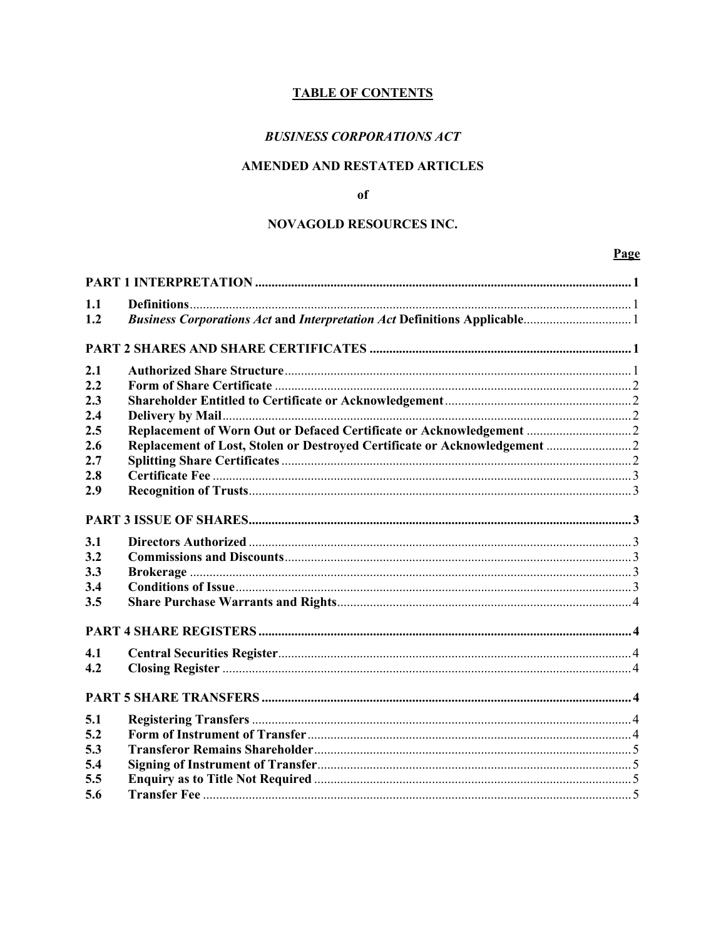# **TABLE OF CONTENTS**

# **BUSINESS CORPORATIONS ACT**

# AMENDED AND RESTATED ARTICLES

### of

## **NOVAGOLD RESOURCES INC.**

## Page

| 1.1 |  |  |  |
|-----|--|--|--|
| 1.2 |  |  |  |
|     |  |  |  |
|     |  |  |  |
| 2.1 |  |  |  |
| 2.2 |  |  |  |
| 2.3 |  |  |  |
| 2.4 |  |  |  |
| 2.5 |  |  |  |
| 2.6 |  |  |  |
| 2.7 |  |  |  |
| 2.8 |  |  |  |
| 2.9 |  |  |  |
|     |  |  |  |
|     |  |  |  |
| 3.1 |  |  |  |
| 3.2 |  |  |  |
| 3.3 |  |  |  |
| 3.4 |  |  |  |
| 3.5 |  |  |  |
|     |  |  |  |
|     |  |  |  |
| 4.1 |  |  |  |
| 4.2 |  |  |  |
|     |  |  |  |
|     |  |  |  |
| 5.1 |  |  |  |
| 5.2 |  |  |  |
| 5.3 |  |  |  |
| 5.4 |  |  |  |
| 5.5 |  |  |  |
| 5.6 |  |  |  |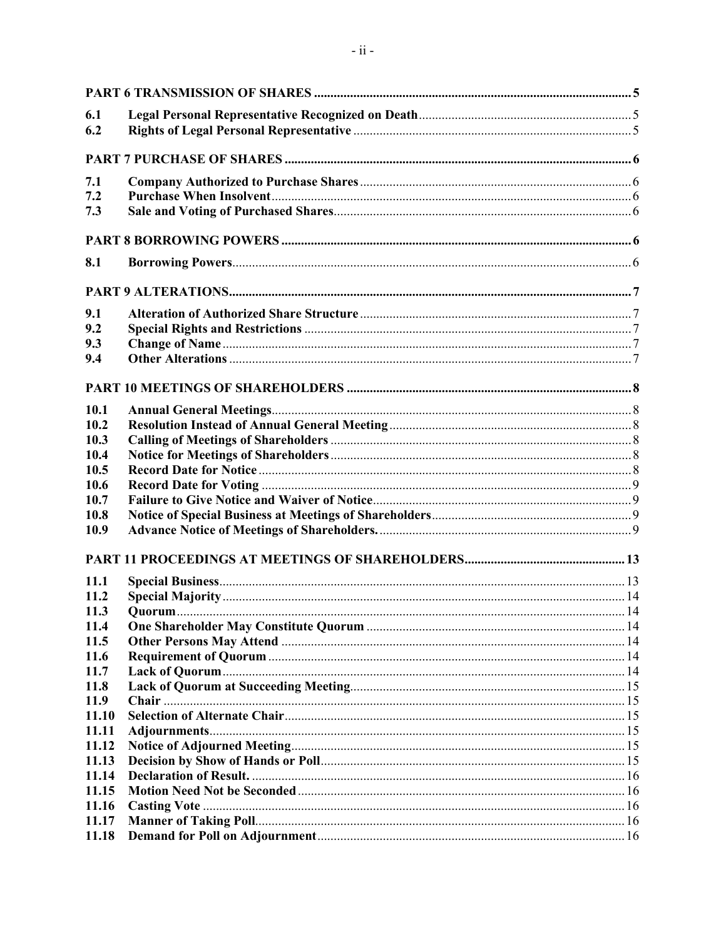| 6.1   |  |
|-------|--|
| 6.2   |  |
|       |  |
| 7.1   |  |
| 7.2   |  |
| 7.3   |  |
|       |  |
| 8.1   |  |
|       |  |
| 9.1   |  |
| 9.2   |  |
| 9.3   |  |
| 9.4   |  |
|       |  |
| 10.1  |  |
| 10.2  |  |
| 10.3  |  |
| 10.4  |  |
| 10.5  |  |
| 10.6  |  |
| 10.7  |  |
| 10.8  |  |
| 10.9  |  |
|       |  |
|       |  |
| 11.1  |  |
| 11.2  |  |
| 11.3  |  |
| 11.4  |  |
| 11.5  |  |
| 11.6  |  |
| 11.7  |  |
| 11.8  |  |
| 11.9  |  |
| 11.10 |  |
| 11.11 |  |
| 11.12 |  |
| 11.13 |  |
| 11.14 |  |
| 11.15 |  |
| 11.16 |  |
| 11.17 |  |
| 11.18 |  |
|       |  |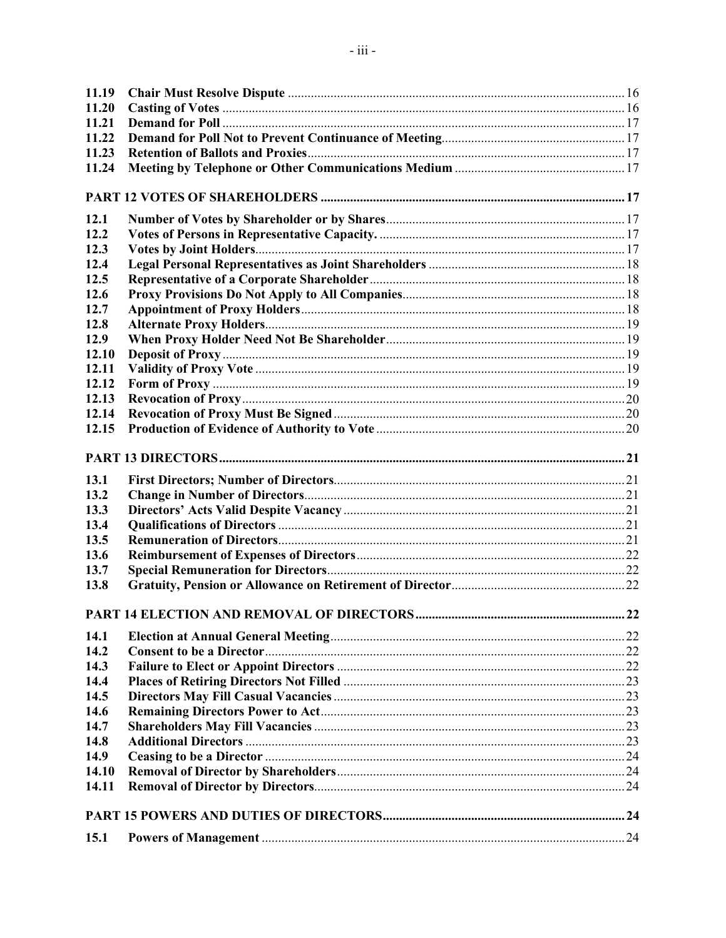| 11.19 |  |
|-------|--|
| 11.20 |  |
| 11.21 |  |
| 11.22 |  |
| 11.23 |  |
| 11.24 |  |
|       |  |
| 12.1  |  |
| 12.2  |  |
| 12.3  |  |
| 12.4  |  |
| 12.5  |  |
| 12.6  |  |
| 12.7  |  |
| 12.8  |  |
| 12.9  |  |
| 12.10 |  |
| 12.11 |  |
| 12.12 |  |
| 12.13 |  |
| 12.14 |  |
| 12.15 |  |
|       |  |
| 13.1  |  |
| 13.2  |  |
| 13.3  |  |
| 13.4  |  |
| 13.5  |  |
| 13.6  |  |
| 13.7  |  |
| 13.8  |  |
|       |  |
| 14.1  |  |
| 14.2  |  |
| 14.3  |  |
| 14.4  |  |
| 14.5  |  |
| 14.6  |  |
| 14.7  |  |
| 14.8  |  |
| 14.9  |  |
| 14.10 |  |
| 14.11 |  |
|       |  |
|       |  |
| 15.1  |  |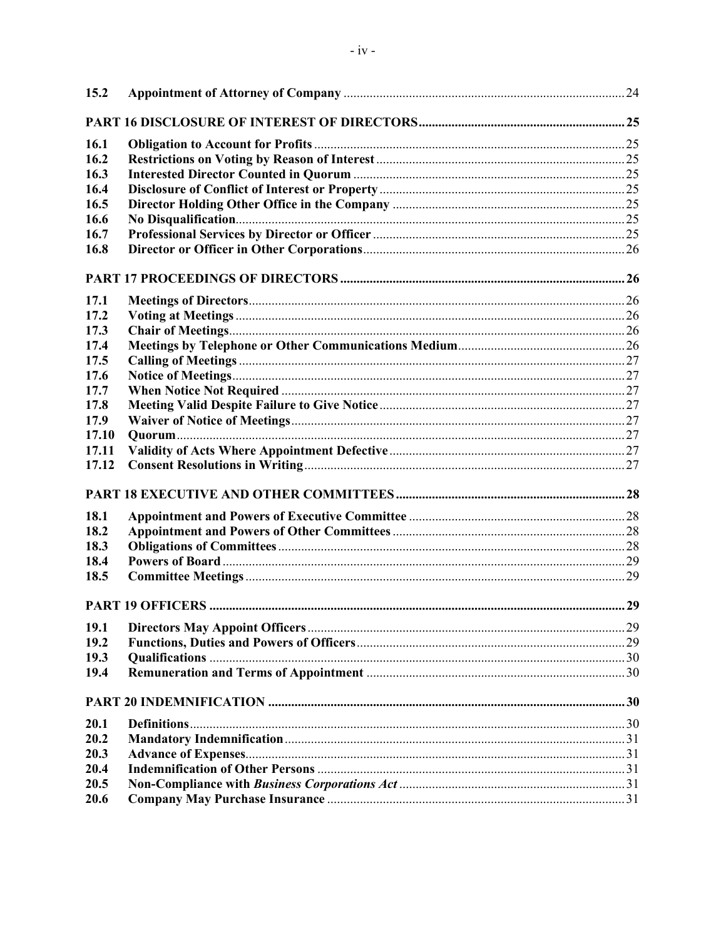| 15.2  |  |
|-------|--|
|       |  |
| 16.1  |  |
| 16.2  |  |
| 16.3  |  |
| 16.4  |  |
| 16.5  |  |
| 16.6  |  |
| 16.7  |  |
| 16.8  |  |
|       |  |
| 17.1  |  |
| 17.2  |  |
| 17.3  |  |
| 17.4  |  |
| 17.5  |  |
| 17.6  |  |
| 17.7  |  |
| 17.8  |  |
| 17.9  |  |
| 17.10 |  |
| 17.11 |  |
| 17.12 |  |
|       |  |
| 18.1  |  |
| 18.2  |  |
| 18.3  |  |
| 18.4  |  |
| 18.5  |  |
|       |  |
| 19.1  |  |
| 19.2  |  |
| 19.3  |  |
| 19.4  |  |
|       |  |
| 20.1  |  |
| 20.2  |  |
| 20.3  |  |
| 20.4  |  |
| 20.5  |  |
| 20.6  |  |
|       |  |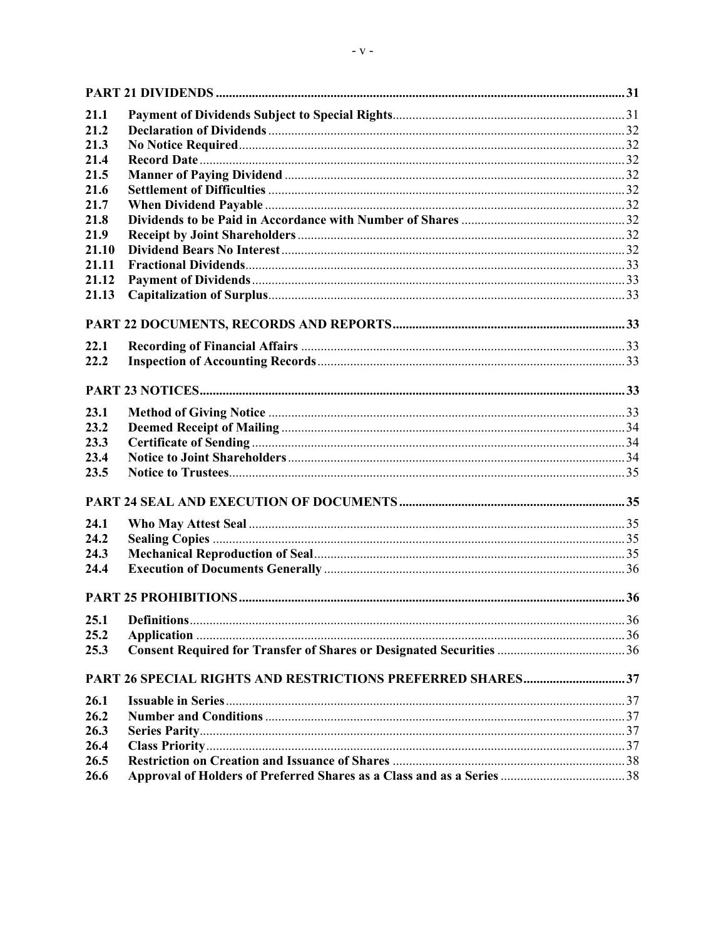| 21.1  |  |
|-------|--|
| 21.2  |  |
| 21.3  |  |
| 21.4  |  |
| 21.5  |  |
| 21.6  |  |
| 21.7  |  |
| 21.8  |  |
| 21.9  |  |
| 21.10 |  |
| 21.11 |  |
| 21.12 |  |
| 21.13 |  |
|       |  |
|       |  |
| 22.1  |  |
| 22.2  |  |
|       |  |
| 23.1  |  |
| 23.2  |  |
| 23.3  |  |
| 23.4  |  |
| 23.5  |  |
|       |  |
| 24.1  |  |
| 24.2  |  |
| 24.3  |  |
| 24.4  |  |
|       |  |
| 25.1  |  |
| 25.2  |  |
| 25.3  |  |
|       |  |
|       |  |
| 26.1  |  |
| 26.2  |  |
| 26.3  |  |
| 26.4  |  |
| 26.5  |  |
| 26.6  |  |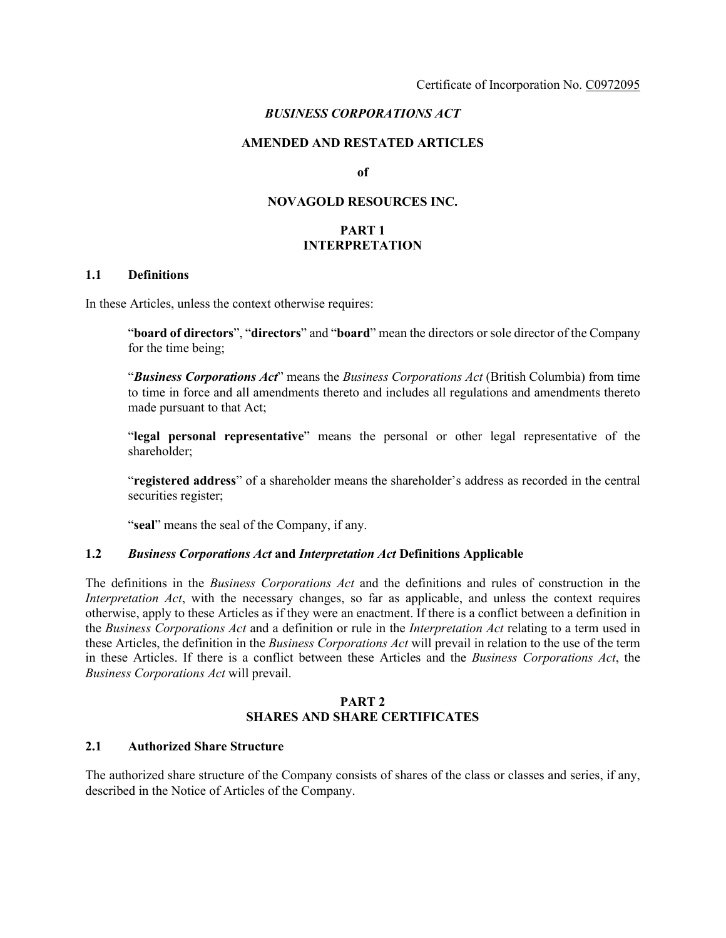# *BUSINESS CORPORATIONS ACT*

#### **AMENDED AND RESTATED ARTICLES**

**of**

### **NOVAGOLD RESOURCES INC.**

## **PART 1 INTERPRETATION**

#### **1.1 Definitions**

In these Articles, unless the context otherwise requires:

"**board of directors**", "**directors**" and "**board**" mean the directors or sole director of the Company for the time being;

"*Business Corporations Act*" means the *Business Corporations Act* (British Columbia) from time to time in force and all amendments thereto and includes all regulations and amendments thereto made pursuant to that Act;

"**legal personal representative**" means the personal or other legal representative of the shareholder;

"**registered address**" of a shareholder means the shareholder's address as recorded in the central securities register;

"**seal**" means the seal of the Company, if any.

#### **1.2** *Business Corporations Act* **and** *Interpretation Act* **Definitions Applicable**

The definitions in the *Business Corporations Act* and the definitions and rules of construction in the *Interpretation Act*, with the necessary changes, so far as applicable, and unless the context requires otherwise, apply to these Articles as if they were an enactment. If there is a conflict between a definition in the *Business Corporations Act* and a definition or rule in the *Interpretation Act* relating to a term used in these Articles, the definition in the *Business Corporations Act* will prevail in relation to the use of the term in these Articles. If there is a conflict between these Articles and the *Business Corporations Act*, the *Business Corporations Act* will prevail.

#### **PART 2 SHARES AND SHARE CERTIFICATES**

#### **2.1 Authorized Share Structure**

The authorized share structure of the Company consists of shares of the class or classes and series, if any, described in the Notice of Articles of the Company.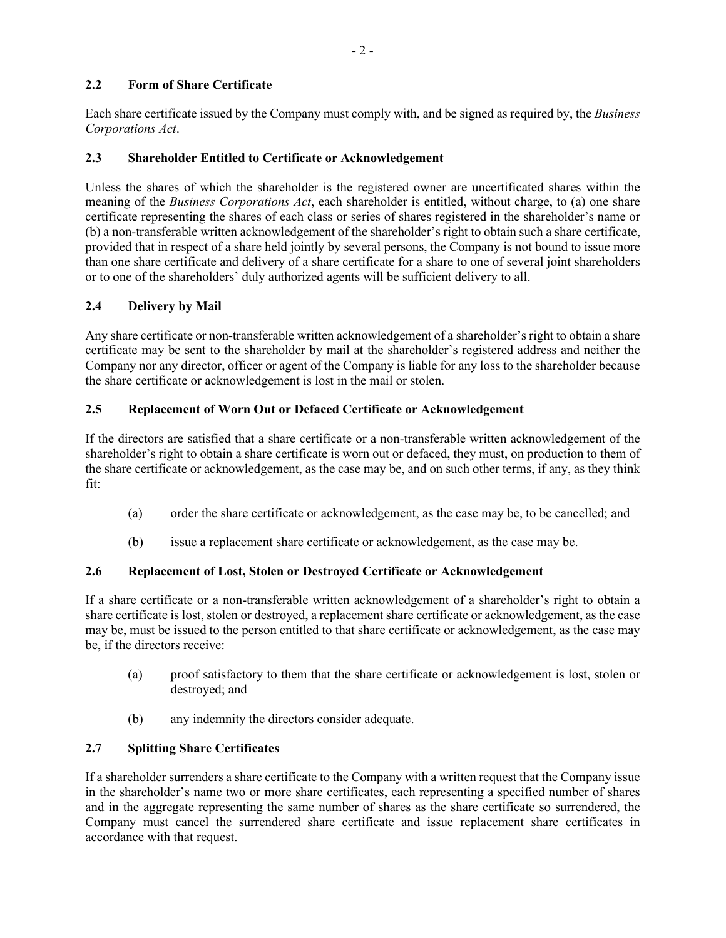# **2.2 Form of Share Certificate**

Each share certificate issued by the Company must comply with, and be signed as required by, the *Business Corporations Act*.

# **2.3 Shareholder Entitled to Certificate or Acknowledgement**

Unless the shares of which the shareholder is the registered owner are uncertificated shares within the meaning of the *Business Corporations Act*, each shareholder is entitled, without charge, to (a) one share certificate representing the shares of each class or series of shares registered in the shareholder's name or (b) a non-transferable written acknowledgement of the shareholder's right to obtain such a share certificate, provided that in respect of a share held jointly by several persons, the Company is not bound to issue more than one share certificate and delivery of a share certificate for a share to one of several joint shareholders or to one of the shareholders' duly authorized agents will be sufficient delivery to all.

# **2.4 Delivery by Mail**

Any share certificate or non-transferable written acknowledgement of a shareholder's right to obtain a share certificate may be sent to the shareholder by mail at the shareholder's registered address and neither the Company nor any director, officer or agent of the Company is liable for any loss to the shareholder because the share certificate or acknowledgement is lost in the mail or stolen.

# **2.5 Replacement of Worn Out or Defaced Certificate or Acknowledgement**

If the directors are satisfied that a share certificate or a non-transferable written acknowledgement of the shareholder's right to obtain a share certificate is worn out or defaced, they must, on production to them of the share certificate or acknowledgement, as the case may be, and on such other terms, if any, as they think fit:

- (a) order the share certificate or acknowledgement, as the case may be, to be cancelled; and
- (b) issue a replacement share certificate or acknowledgement, as the case may be.

# **2.6 Replacement of Lost, Stolen or Destroyed Certificate or Acknowledgement**

If a share certificate or a non-transferable written acknowledgement of a shareholder's right to obtain a share certificate is lost, stolen or destroyed, a replacement share certificate or acknowledgement, as the case may be, must be issued to the person entitled to that share certificate or acknowledgement, as the case may be, if the directors receive:

- (a) proof satisfactory to them that the share certificate or acknowledgement is lost, stolen or destroyed; and
- (b) any indemnity the directors consider adequate.

# **2.7 Splitting Share Certificates**

If a shareholder surrenders a share certificate to the Company with a written request that the Company issue in the shareholder's name two or more share certificates, each representing a specified number of shares and in the aggregate representing the same number of shares as the share certificate so surrendered, the Company must cancel the surrendered share certificate and issue replacement share certificates in accordance with that request.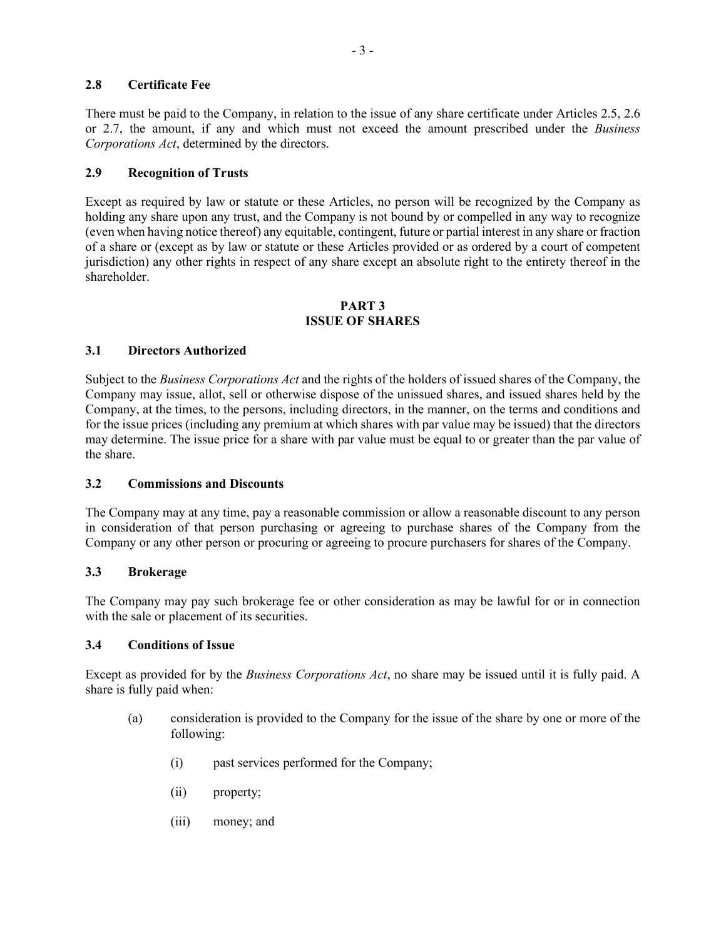## **2.8 Certificate Fee**

There must be paid to the Company, in relation to the issue of any share certificate under Articles 2.5, 2.6 or 2.7, the amount, if any and which must not exceed the amount prescribed under the *Business Corporations Act*, determined by the directors.

## **2.9 Recognition of Trusts**

Except as required by law or statute or these Articles, no person will be recognized by the Company as holding any share upon any trust, and the Company is not bound by or compelled in any way to recognize (even when having notice thereof) any equitable, contingent, future or partial interest in any share or fraction of a share or (except as by law or statute or these Articles provided or as ordered by a court of competent jurisdiction) any other rights in respect of any share except an absolute right to the entirety thereof in the shareholder.

# **PART 3 ISSUE OF SHARES**

#### **3.1 Directors Authorized**

Subject to the *Business Corporations Act* and the rights of the holders of issued shares of the Company, the Company may issue, allot, sell or otherwise dispose of the unissued shares, and issued shares held by the Company, at the times, to the persons, including directors, in the manner, on the terms and conditions and for the issue prices (including any premium at which shares with par value may be issued) that the directors may determine. The issue price for a share with par value must be equal to or greater than the par value of the share.

### **3.2 Commissions and Discounts**

The Company may at any time, pay a reasonable commission or allow a reasonable discount to any person in consideration of that person purchasing or agreeing to purchase shares of the Company from the Company or any other person or procuring or agreeing to procure purchasers for shares of the Company.

### **3.3 Brokerage**

The Company may pay such brokerage fee or other consideration as may be lawful for or in connection with the sale or placement of its securities.

### **3.4 Conditions of Issue**

Except as provided for by the *Business Corporations Act*, no share may be issued until it is fully paid. A share is fully paid when:

- (a) consideration is provided to the Company for the issue of the share by one or more of the following:
	- (i) past services performed for the Company;
	- (ii) property;
	- (iii) money; and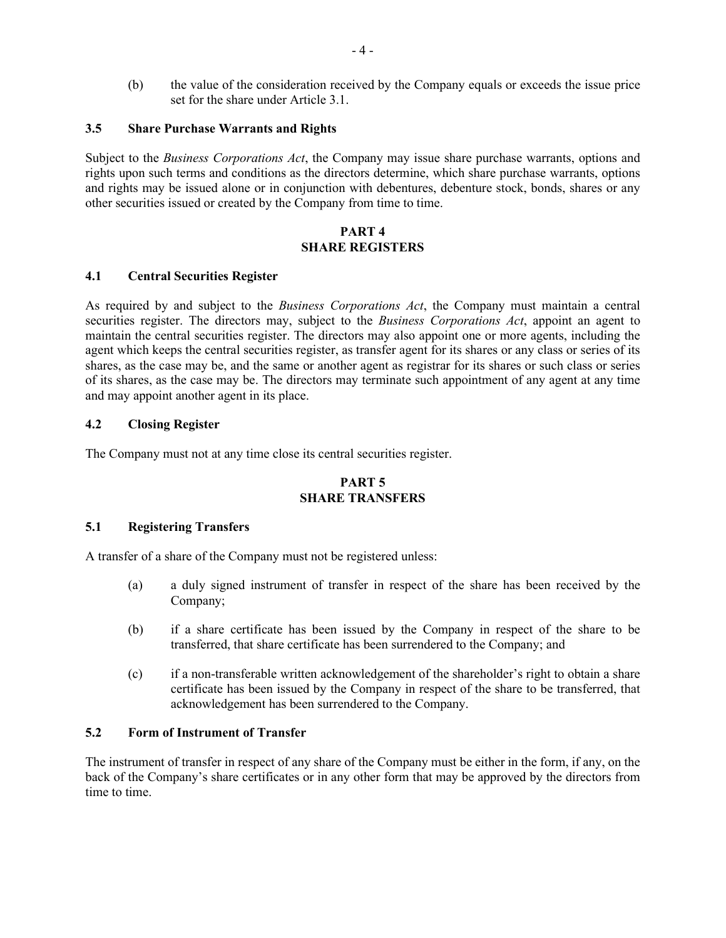(b) the value of the consideration received by the Company equals or exceeds the issue price set for the share under Article 3.1.

#### **3.5 Share Purchase Warrants and Rights**

Subject to the *Business Corporations Act*, the Company may issue share purchase warrants, options and rights upon such terms and conditions as the directors determine, which share purchase warrants, options and rights may be issued alone or in conjunction with debentures, debenture stock, bonds, shares or any other securities issued or created by the Company from time to time.

#### **PART 4 SHARE REGISTERS**

#### **4.1 Central Securities Register**

As required by and subject to the *Business Corporations Act*, the Company must maintain a central securities register. The directors may, subject to the *Business Corporations Act*, appoint an agent to maintain the central securities register. The directors may also appoint one or more agents, including the agent which keeps the central securities register, as transfer agent for its shares or any class or series of its shares, as the case may be, and the same or another agent as registrar for its shares or such class or series of its shares, as the case may be. The directors may terminate such appointment of any agent at any time and may appoint another agent in its place.

#### **4.2 Closing Register**

The Company must not at any time close its central securities register.

# **PART 5 SHARE TRANSFERS**

#### **5.1 Registering Transfers**

A transfer of a share of the Company must not be registered unless:

- (a) a duly signed instrument of transfer in respect of the share has been received by the Company;
- (b) if a share certificate has been issued by the Company in respect of the share to be transferred, that share certificate has been surrendered to the Company; and
- (c) if a non-transferable written acknowledgement of the shareholder's right to obtain a share certificate has been issued by the Company in respect of the share to be transferred, that acknowledgement has been surrendered to the Company.

#### **5.2 Form of Instrument of Transfer**

The instrument of transfer in respect of any share of the Company must be either in the form, if any, on the back of the Company's share certificates or in any other form that may be approved by the directors from time to time.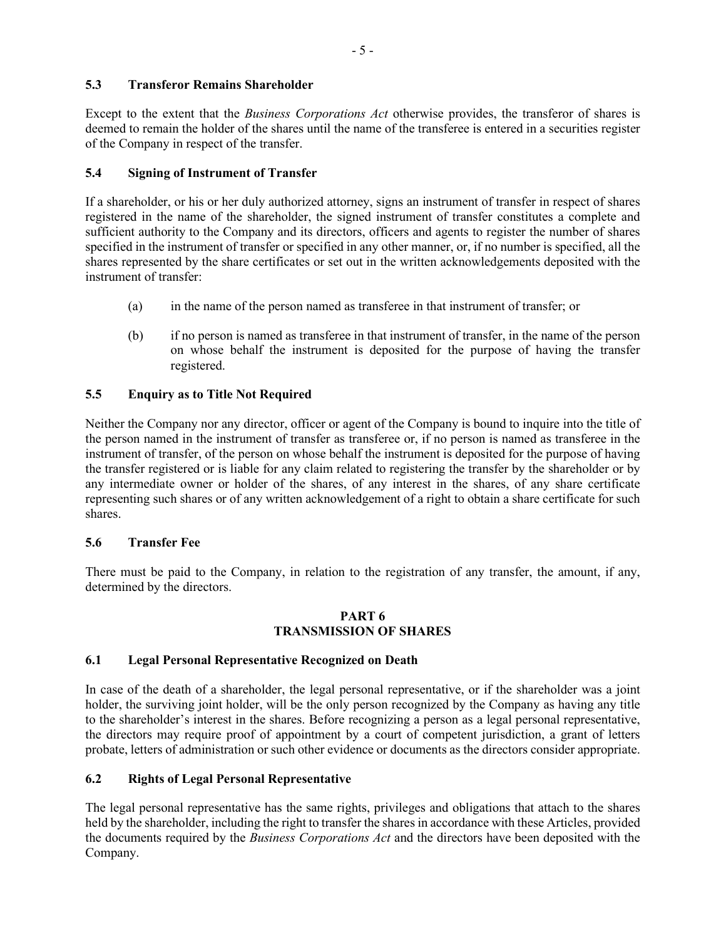# **5.3 Transferor Remains Shareholder**

Except to the extent that the *Business Corporations Act* otherwise provides, the transferor of shares is deemed to remain the holder of the shares until the name of the transferee is entered in a securities register of the Company in respect of the transfer.

## **5.4 Signing of Instrument of Transfer**

If a shareholder, or his or her duly authorized attorney, signs an instrument of transfer in respect of shares registered in the name of the shareholder, the signed instrument of transfer constitutes a complete and sufficient authority to the Company and its directors, officers and agents to register the number of shares specified in the instrument of transfer or specified in any other manner, or, if no number is specified, all the shares represented by the share certificates or set out in the written acknowledgements deposited with the instrument of transfer:

- (a) in the name of the person named as transferee in that instrument of transfer; or
- (b) if no person is named as transferee in that instrument of transfer, in the name of the person on whose behalf the instrument is deposited for the purpose of having the transfer registered.

## **5.5 Enquiry as to Title Not Required**

Neither the Company nor any director, officer or agent of the Company is bound to inquire into the title of the person named in the instrument of transfer as transferee or, if no person is named as transferee in the instrument of transfer, of the person on whose behalf the instrument is deposited for the purpose of having the transfer registered or is liable for any claim related to registering the transfer by the shareholder or by any intermediate owner or holder of the shares, of any interest in the shares, of any share certificate representing such shares or of any written acknowledgement of a right to obtain a share certificate for such shares.

### **5.6 Transfer Fee**

There must be paid to the Company, in relation to the registration of any transfer, the amount, if any, determined by the directors.

#### **PART 6 TRANSMISSION OF SHARES**

### **6.1 Legal Personal Representative Recognized on Death**

In case of the death of a shareholder, the legal personal representative, or if the shareholder was a joint holder, the surviving joint holder, will be the only person recognized by the Company as having any title to the shareholder's interest in the shares. Before recognizing a person as a legal personal representative, the directors may require proof of appointment by a court of competent jurisdiction, a grant of letters probate, letters of administration or such other evidence or documents as the directors consider appropriate.

### **6.2 Rights of Legal Personal Representative**

The legal personal representative has the same rights, privileges and obligations that attach to the shares held by the shareholder, including the right to transfer the shares in accordance with these Articles, provided the documents required by the *Business Corporations Act* and the directors have been deposited with the Company.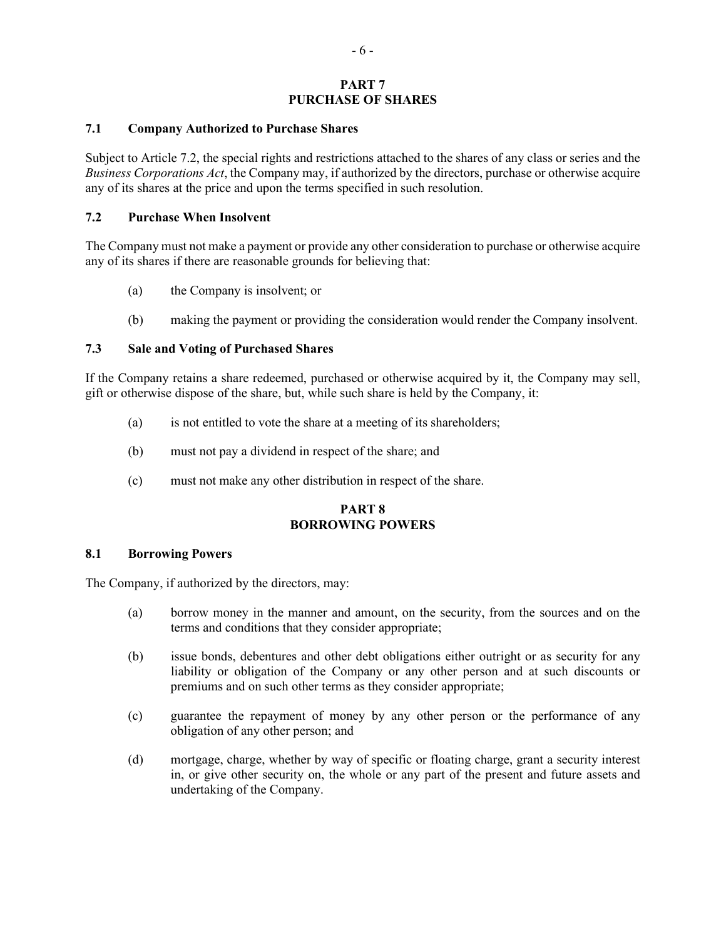#### **PART 7 PURCHASE OF SHARES**

#### **7.1 Company Authorized to Purchase Shares**

Subject to Article 7.2, the special rights and restrictions attached to the shares of any class or series and the *Business Corporations Act*, the Company may, if authorized by the directors, purchase or otherwise acquire any of its shares at the price and upon the terms specified in such resolution.

#### **7.2 Purchase When Insolvent**

The Company must not make a payment or provide any other consideration to purchase or otherwise acquire any of its shares if there are reasonable grounds for believing that:

- (a) the Company is insolvent; or
- (b) making the payment or providing the consideration would render the Company insolvent.

### **7.3 Sale and Voting of Purchased Shares**

If the Company retains a share redeemed, purchased or otherwise acquired by it, the Company may sell, gift or otherwise dispose of the share, but, while such share is held by the Company, it:

- (a) is not entitled to vote the share at a meeting of its shareholders;
- (b) must not pay a dividend in respect of the share; and
- (c) must not make any other distribution in respect of the share.

### **PART 8 BORROWING POWERS**

#### **8.1 Borrowing Powers**

The Company, if authorized by the directors, may:

- (a) borrow money in the manner and amount, on the security, from the sources and on the terms and conditions that they consider appropriate;
- (b) issue bonds, debentures and other debt obligations either outright or as security for any liability or obligation of the Company or any other person and at such discounts or premiums and on such other terms as they consider appropriate;
- (c) guarantee the repayment of money by any other person or the performance of any obligation of any other person; and
- (d) mortgage, charge, whether by way of specific or floating charge, grant a security interest in, or give other security on, the whole or any part of the present and future assets and undertaking of the Company.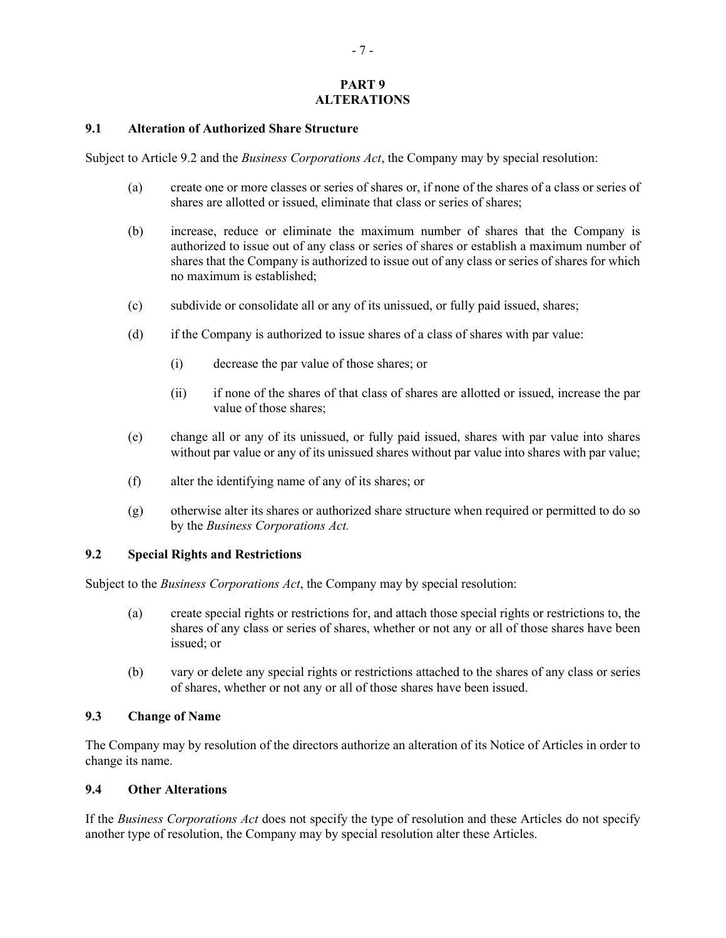# **PART 9 ALTERATIONS**

#### **9.1 Alteration of Authorized Share Structure**

Subject to Article 9.2 and the *Business Corporations Act*, the Company may by special resolution:

- (a) create one or more classes or series of shares or, if none of the shares of a class or series of shares are allotted or issued, eliminate that class or series of shares;
- (b) increase, reduce or eliminate the maximum number of shares that the Company is authorized to issue out of any class or series of shares or establish a maximum number of shares that the Company is authorized to issue out of any class or series of shares for which no maximum is established;
- (c) subdivide or consolidate all or any of its unissued, or fully paid issued, shares;
- (d) if the Company is authorized to issue shares of a class of shares with par value:
	- (i) decrease the par value of those shares; or
	- (ii) if none of the shares of that class of shares are allotted or issued, increase the par value of those shares;
- (e) change all or any of its unissued, or fully paid issued, shares with par value into shares without par value or any of its unissued shares without par value into shares with par value;
- (f) alter the identifying name of any of its shares; or
- (g) otherwise alter its shares or authorized share structure when required or permitted to do so by the *Business Corporations Act.*

#### **9.2 Special Rights and Restrictions**

Subject to the *Business Corporations Act*, the Company may by special resolution:

- (a) create special rights or restrictions for, and attach those special rights or restrictions to, the shares of any class or series of shares, whether or not any or all of those shares have been issued; or
- (b) vary or delete any special rights or restrictions attached to the shares of any class or series of shares, whether or not any or all of those shares have been issued.

#### **9.3 Change of Name**

The Company may by resolution of the directors authorize an alteration of its Notice of Articles in order to change its name.

#### **9.4 Other Alterations**

If the *Business Corporations Act* does not specify the type of resolution and these Articles do not specify another type of resolution, the Company may by special resolution alter these Articles.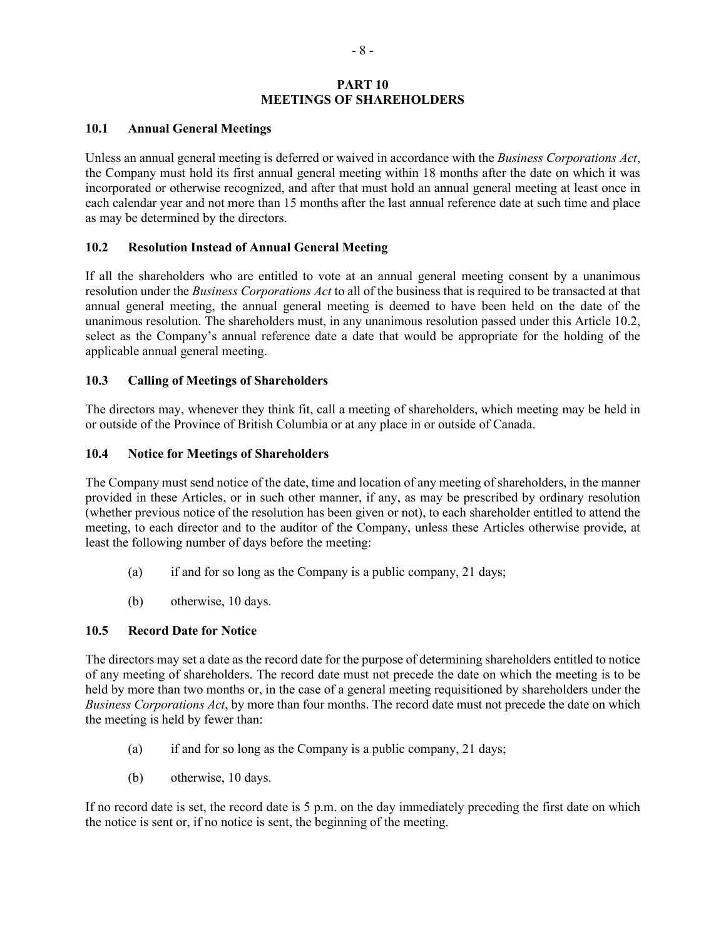### **PART 10 MEETINGS OF SHAREHOLDERS**

#### **10.1 Annual General Meetings**

Unless an annual general meeting is deferred or waived in accordance with the *Business Corporations Act*, the Company must hold its first annual general meeting within 18 months after the date on which it was incorporated or otherwise recognized, and after that must hold an annual general meeting at least once in each calendar year and not more than 15 months after the last annual reference date at such time and place as may be determined by the directors.

### **10.2 Resolution Instead of Annual General Meeting**

If all the shareholders who are entitled to vote at an annual general meeting consent by a unanimous resolution under the *Business Corporations Act* to all of the business that is required to be transacted at that annual general meeting, the annual general meeting is deemed to have been held on the date of the unanimous resolution. The shareholders must, in any unanimous resolution passed under this Article 10.2, select as the Company's annual reference date a date that would be appropriate for the holding of the applicable annual general meeting.

### **10.3 Calling of Meetings of Shareholders**

The directors may, whenever they think fit, call a meeting of shareholders, which meeting may be held in or outside of the Province of British Columbia or at any place in or outside of Canada.

### **10.4 Notice for Meetings of Shareholders**

The Company must send notice of the date, time and location of any meeting of shareholders, in the manner provided in these Articles, or in such other manner, if any, as may be prescribed by ordinary resolution (whether previous notice of the resolution has been given or not), to each shareholder entitled to attend the meeting, to each director and to the auditor of the Company, unless these Articles otherwise provide, at least the following number of days before the meeting:

- (a) if and for so long as the Company is a public company, 21 days;
- (b) otherwise, 10 days.

### **10.5 Record Date for Notice**

The directors may set a date as the record date for the purpose of determining shareholders entitled to notice of any meeting of shareholders. The record date must not precede the date on which the meeting is to be held by more than two months or, in the case of a general meeting requisitioned by shareholders under the *Business Corporations Act*, by more than four months. The record date must not precede the date on which the meeting is held by fewer than:

- (a) if and for so long as the Company is a public company, 21 days;
- (b) otherwise, 10 days.

If no record date is set, the record date is 5 p.m. on the day immediately preceding the first date on which the notice is sent or, if no notice is sent, the beginning of the meeting.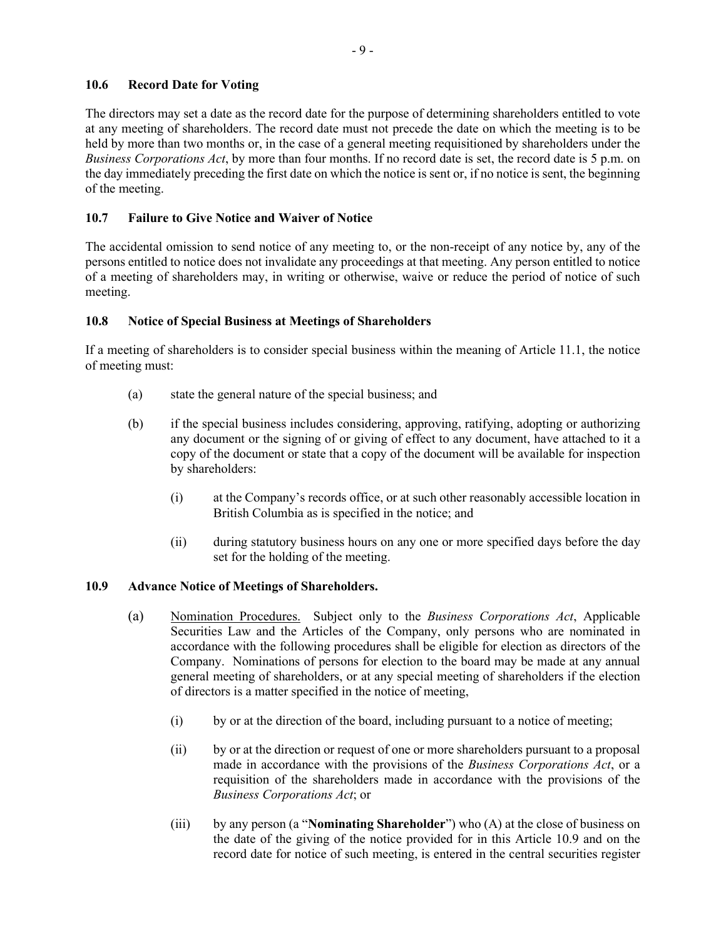## **10.6 Record Date for Voting**

The directors may set a date as the record date for the purpose of determining shareholders entitled to vote at any meeting of shareholders. The record date must not precede the date on which the meeting is to be held by more than two months or, in the case of a general meeting requisitioned by shareholders under the *Business Corporations Act*, by more than four months. If no record date is set, the record date is 5 p.m. on the day immediately preceding the first date on which the notice is sent or, if no notice is sent, the beginning of the meeting.

## **10.7 Failure to Give Notice and Waiver of Notice**

The accidental omission to send notice of any meeting to, or the non-receipt of any notice by, any of the persons entitled to notice does not invalidate any proceedings at that meeting. Any person entitled to notice of a meeting of shareholders may, in writing or otherwise, waive or reduce the period of notice of such meeting.

## **10.8 Notice of Special Business at Meetings of Shareholders**

If a meeting of shareholders is to consider special business within the meaning of Article 11.1, the notice of meeting must:

- (a) state the general nature of the special business; and
- (b) if the special business includes considering, approving, ratifying, adopting or authorizing any document or the signing of or giving of effect to any document, have attached to it a copy of the document or state that a copy of the document will be available for inspection by shareholders:
	- (i) at the Company's records office, or at such other reasonably accessible location in British Columbia as is specified in the notice; and
	- (ii) during statutory business hours on any one or more specified days before the day set for the holding of the meeting.

### **10.9 Advance Notice of Meetings of Shareholders.**

- (a) Nomination Procedures. Subject only to the *Business Corporations Act*, Applicable Securities Law and the Articles of the Company, only persons who are nominated in accordance with the following procedures shall be eligible for election as directors of the Company. Nominations of persons for election to the board may be made at any annual general meeting of shareholders, or at any special meeting of shareholders if the election of directors is a matter specified in the notice of meeting,
	- (i) by or at the direction of the board, including pursuant to a notice of meeting;
	- (ii) by or at the direction or request of one or more shareholders pursuant to a proposal made in accordance with the provisions of the *Business Corporations Act*, or a requisition of the shareholders made in accordance with the provisions of the *Business Corporations Act*; or
	- (iii) by any person (a "**Nominating Shareholder**") who (A) at the close of business on the date of the giving of the notice provided for in this Article 10.9 and on the record date for notice of such meeting, is entered in the central securities register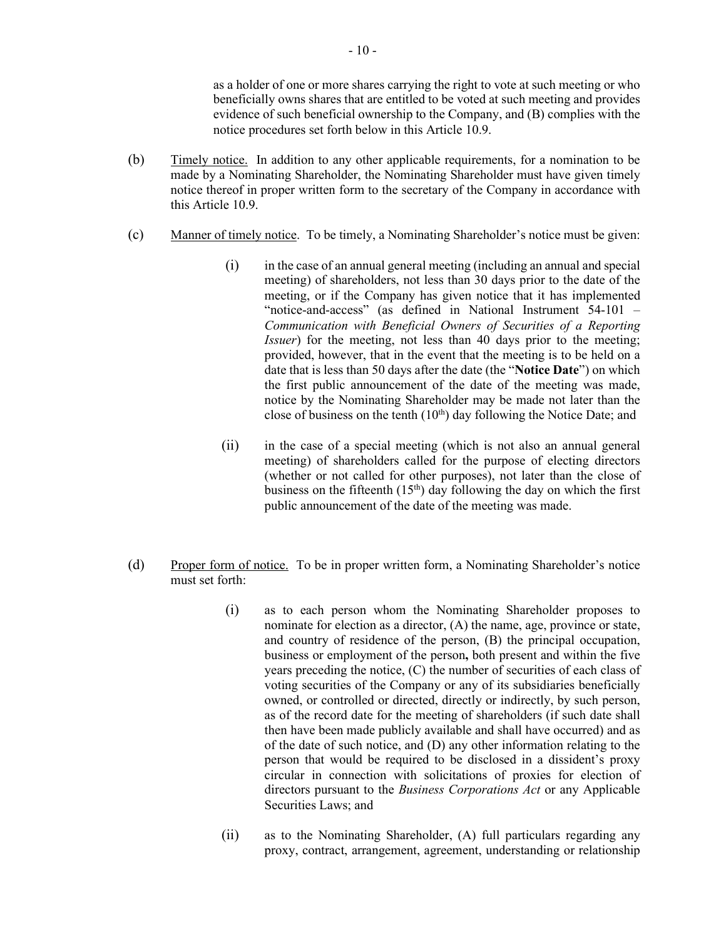as a holder of one or more shares carrying the right to vote at such meeting or who beneficially owns shares that are entitled to be voted at such meeting and provides evidence of such beneficial ownership to the Company, and (B) complies with the notice procedures set forth below in this Article 10.9.

- (b) Timely notice. In addition to any other applicable requirements, for a nomination to be made by a Nominating Shareholder, the Nominating Shareholder must have given timely notice thereof in proper written form to the secretary of the Company in accordance with this Article 10.9.
- (c) Manner of timely notice. To be timely, a Nominating Shareholder's notice must be given:
	- (i) in the case of an annual general meeting (including an annual and special meeting) of shareholders, not less than 30 days prior to the date of the meeting, or if the Company has given notice that it has implemented "notice-and-access" (as defined in National Instrument 54-101 *– Communication with Beneficial Owners of Securities of a Reporting Issuer*) for the meeting, not less than 40 days prior to the meeting; provided, however, that in the event that the meeting is to be held on a date that is less than 50 days after the date (the "**Notice Date**") on which the first public announcement of the date of the meeting was made, notice by the Nominating Shareholder may be made not later than the close of business on the tenth  $(10<sup>th</sup>)$  day following the Notice Date; and
	- (ii) in the case of a special meeting (which is not also an annual general meeting) of shareholders called for the purpose of electing directors (whether or not called for other purposes), not later than the close of business on the fifteenth  $(15<sup>th</sup>)$  day following the day on which the first public announcement of the date of the meeting was made.
- (d) Proper form of notice. To be in proper written form, a Nominating Shareholder's notice must set forth:
	- (i) as to each person whom the Nominating Shareholder proposes to nominate for election as a director, (A) the name, age, province or state, and country of residence of the person, (B) the principal occupation, business or employment of the person**,** both present and within the five years preceding the notice, (C) the number of securities of each class of voting securities of the Company or any of its subsidiaries beneficially owned, or controlled or directed, directly or indirectly, by such person, as of the record date for the meeting of shareholders (if such date shall then have been made publicly available and shall have occurred) and as of the date of such notice, and (D) any other information relating to the person that would be required to be disclosed in a dissident's proxy circular in connection with solicitations of proxies for election of directors pursuant to the *Business Corporations Act* or any Applicable Securities Laws; and
	- (ii) as to the Nominating Shareholder, (A) full particulars regarding any proxy, contract, arrangement, agreement, understanding or relationship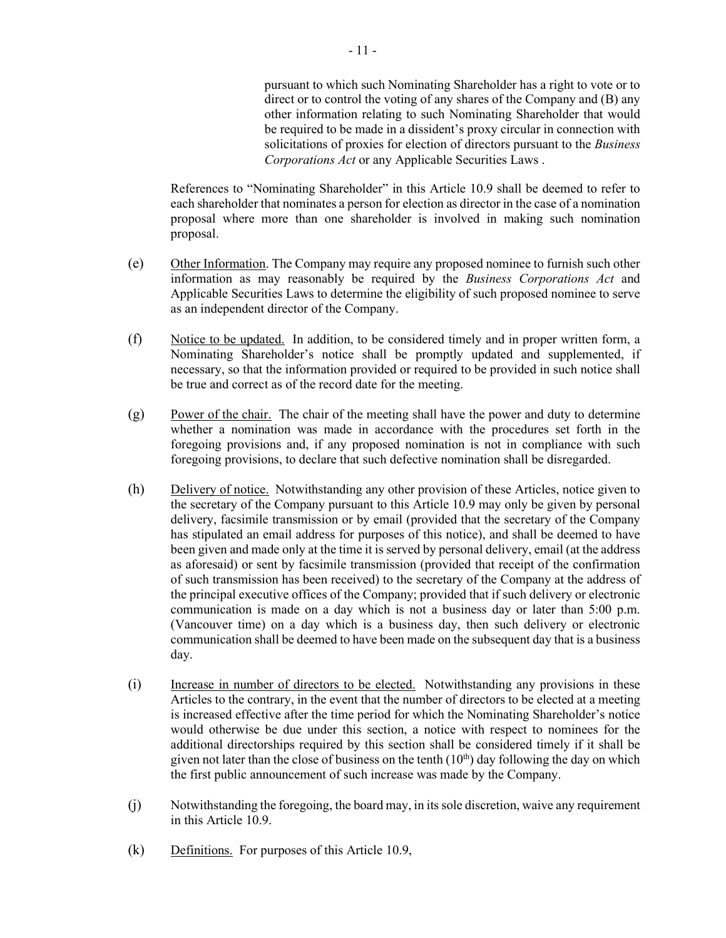pursuant to which such Nominating Shareholder has a right to vote or to direct or to control the voting of any shares of the Company and (B) any other information relating to such Nominating Shareholder that would be required to be made in a dissident's proxy circular in connection with solicitations of proxies for election of directors pursuant to the *Business Corporations Act* or any Applicable Securities Laws .

References to "Nominating Shareholder" in this Article 10.9 shall be deemed to refer to each shareholder that nominates a person for election as director in the case of a nomination proposal where more than one shareholder is involved in making such nomination proposal.

- (e) Other Information. The Company may require any proposed nominee to furnish such other information as may reasonably be required by the *Business Corporations Act* and Applicable Securities Laws to determine the eligibility of such proposed nominee to serve as an independent director of the Company.
- (f) Notice to be updated. In addition, to be considered timely and in proper written form, a Nominating Shareholder's notice shall be promptly updated and supplemented, if necessary, so that the information provided or required to be provided in such notice shall be true and correct as of the record date for the meeting.
- (g) Power of the chair. The chair of the meeting shall have the power and duty to determine whether a nomination was made in accordance with the procedures set forth in the foregoing provisions and, if any proposed nomination is not in compliance with such foregoing provisions, to declare that such defective nomination shall be disregarded.
- (h) Delivery of notice. Notwithstanding any other provision of these Articles, notice given to the secretary of the Company pursuant to this Article 10.9 may only be given by personal delivery, facsimile transmission or by email (provided that the secretary of the Company has stipulated an email address for purposes of this notice), and shall be deemed to have been given and made only at the time it is served by personal delivery, email (at the address as aforesaid) or sent by facsimile transmission (provided that receipt of the confirmation of such transmission has been received) to the secretary of the Company at the address of the principal executive offices of the Company; provided that if such delivery or electronic communication is made on a day which is not a business day or later than 5:00 p.m. (Vancouver time) on a day which is a business day, then such delivery or electronic communication shall be deemed to have been made on the subsequent day that is a business day.
- (i) Increase in number of directors to be elected. Notwithstanding any provisions in these Articles to the contrary, in the event that the number of directors to be elected at a meeting is increased effective after the time period for which the Nominating Shareholder's notice would otherwise be due under this section, a notice with respect to nominees for the additional directorships required by this section shall be considered timely if it shall be given not later than the close of business on the tenth  $(10<sup>th</sup>)$  day following the day on which the first public announcement of such increase was made by the Company.
- (j) Notwithstanding the foregoing, the board may, in its sole discretion, waive any requirement in this Article 10.9.
- (k) Definitions. For purposes of this Article 10.9,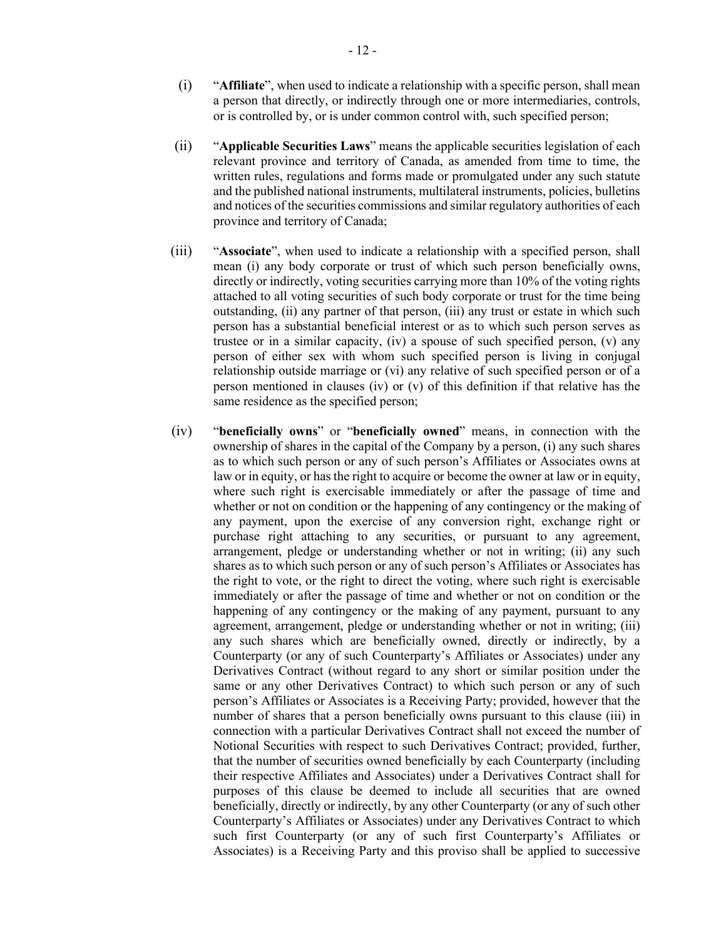- (i) "**Affiliate**", when used to indicate a relationship with a specific person, shall mean a person that directly, or indirectly through one or more intermediaries, controls, or is controlled by, or is under common control with, such specified person;
- (ii) "**Applicable Securities Laws**" means the applicable securities legislation of each relevant province and territory of Canada, as amended from time to time, the written rules, regulations and forms made or promulgated under any such statute and the published national instruments, multilateral instruments, policies, bulletins and notices of the securities commissions and similar regulatory authorities of each province and territory of Canada;
- (iii) "**Associate**", when used to indicate a relationship with a specified person, shall mean (i) any body corporate or trust of which such person beneficially owns, directly or indirectly, voting securities carrying more than 10% of the voting rights attached to all voting securities of such body corporate or trust for the time being outstanding, (ii) any partner of that person, (iii) any trust or estate in which such person has a substantial beneficial interest or as to which such person serves as trustee or in a similar capacity, (iv) a spouse of such specified person,  $(v)$  any person of either sex with whom such specified person is living in conjugal relationship outside marriage or (vi) any relative of such specified person or of a person mentioned in clauses (iv) or (v) of this definition if that relative has the same residence as the specified person;
- (iv) "**beneficially owns**" or "**beneficially owned**" means, in connection with the ownership of shares in the capital of the Company by a person, (i) any such shares as to which such person or any of such person's Affiliates or Associates owns at law or in equity, or has the right to acquire or become the owner at law or in equity, where such right is exercisable immediately or after the passage of time and whether or not on condition or the happening of any contingency or the making of any payment, upon the exercise of any conversion right, exchange right or purchase right attaching to any securities, or pursuant to any agreement, arrangement, pledge or understanding whether or not in writing; (ii) any such shares as to which such person or any of such person's Affiliates or Associates has the right to vote, or the right to direct the voting, where such right is exercisable immediately or after the passage of time and whether or not on condition or the happening of any contingency or the making of any payment, pursuant to any agreement, arrangement, pledge or understanding whether or not in writing; (iii) any such shares which are beneficially owned, directly or indirectly, by a Counterparty (or any of such Counterparty's Affiliates or Associates) under any Derivatives Contract (without regard to any short or similar position under the same or any other Derivatives Contract) to which such person or any of such person's Affiliates or Associates is a Receiving Party; provided, however that the number of shares that a person beneficially owns pursuant to this clause (iii) in connection with a particular Derivatives Contract shall not exceed the number of Notional Securities with respect to such Derivatives Contract; provided, further, that the number of securities owned beneficially by each Counterparty (including their respective Affiliates and Associates) under a Derivatives Contract shall for purposes of this clause be deemed to include all securities that are owned beneficially, directly or indirectly, by any other Counterparty (or any of such other Counterparty's Affiliates or Associates) under any Derivatives Contract to which such first Counterparty (or any of such first Counterparty's Affiliates or Associates) is a Receiving Party and this proviso shall be applied to successive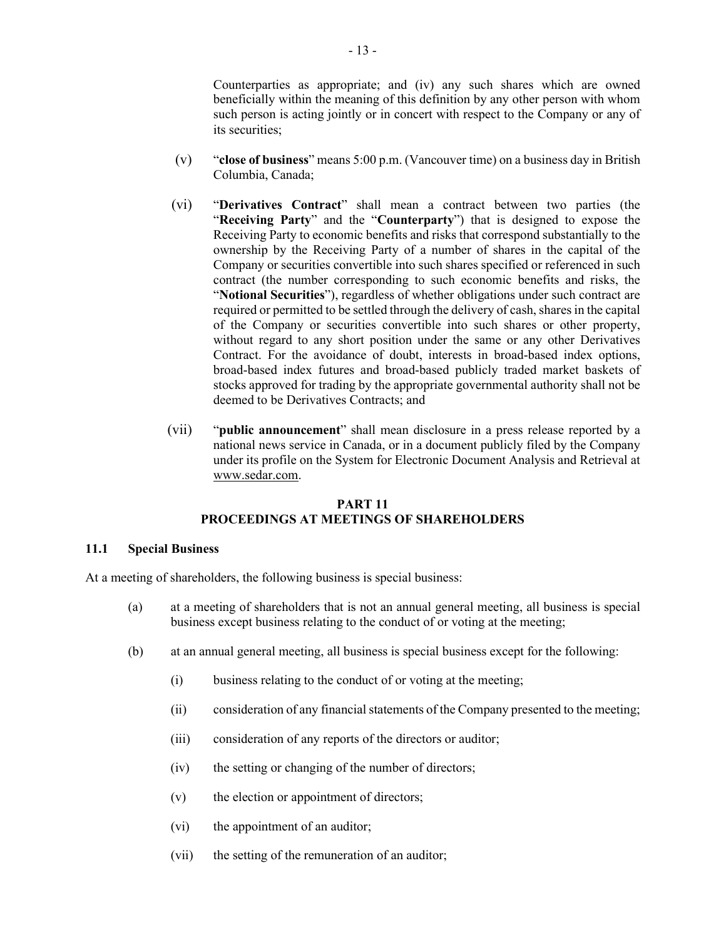Counterparties as appropriate; and (iv) any such shares which are owned beneficially within the meaning of this definition by any other person with whom such person is acting jointly or in concert with respect to the Company or any of its securities;

- (v) "**close of business**" means 5:00 p.m. (Vancouver time) on a business day in British Columbia, Canada;
- (vi) "**Derivatives Contract**" shall mean a contract between two parties (the "**Receiving Party**" and the "**Counterparty**") that is designed to expose the Receiving Party to economic benefits and risks that correspond substantially to the ownership by the Receiving Party of a number of shares in the capital of the Company or securities convertible into such shares specified or referenced in such contract (the number corresponding to such economic benefits and risks, the "**Notional Securities**"), regardless of whether obligations under such contract are required or permitted to be settled through the delivery of cash, shares in the capital of the Company or securities convertible into such shares or other property, without regard to any short position under the same or any other Derivatives Contract. For the avoidance of doubt, interests in broad-based index options, broad-based index futures and broad-based publicly traded market baskets of stocks approved for trading by the appropriate governmental authority shall not be deemed to be Derivatives Contracts; and
- (vii) "**public announcement**" shall mean disclosure in a press release reported by a national news service in Canada, or in a document publicly filed by the Company under its profile on the System for Electronic Document Analysis and Retrieval at [www.sedar.com.](http://www.sedar.com/)

### **PART 11 PROCEEDINGS AT MEETINGS OF SHAREHOLDERS**

#### **11.1 Special Business**

At a meeting of shareholders, the following business is special business:

- (a) at a meeting of shareholders that is not an annual general meeting, all business is special business except business relating to the conduct of or voting at the meeting;
- (b) at an annual general meeting, all business is special business except for the following:
	- (i) business relating to the conduct of or voting at the meeting;
	- (ii) consideration of any financial statements of the Company presented to the meeting;
	- (iii) consideration of any reports of the directors or auditor;
	- (iv) the setting or changing of the number of directors;
	- (v) the election or appointment of directors;
	- (vi) the appointment of an auditor;
	- (vii) the setting of the remuneration of an auditor;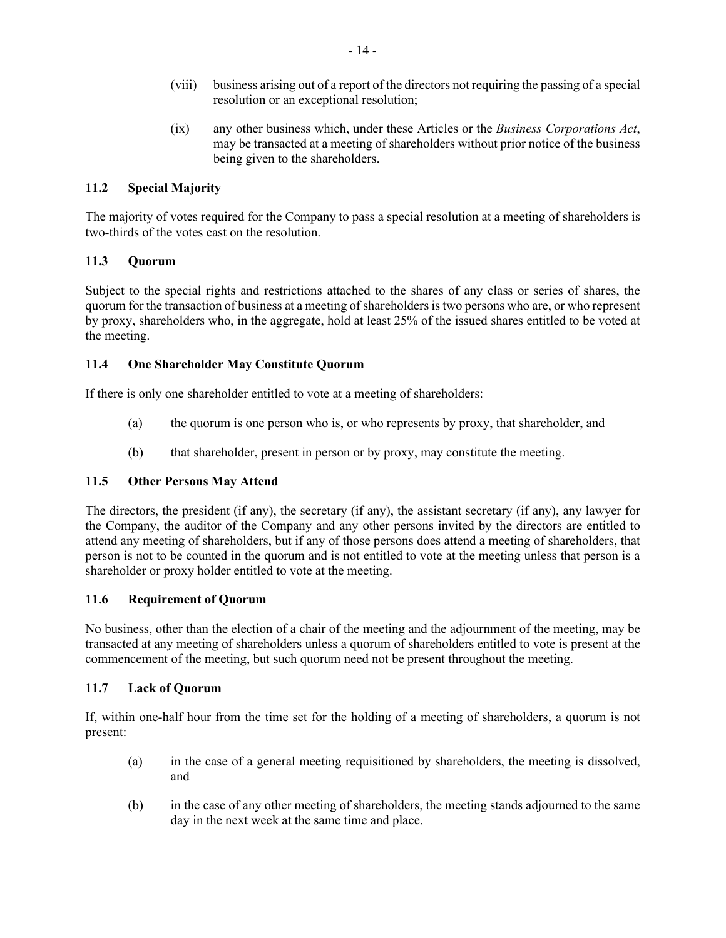- (viii) business arising out of a report of the directors not requiring the passing of a special resolution or an exceptional resolution;
- (ix) any other business which, under these Articles or the *Business Corporations Act*, may be transacted at a meeting of shareholders without prior notice of the business being given to the shareholders.

# **11.2 Special Majority**

The majority of votes required for the Company to pass a special resolution at a meeting of shareholders is two-thirds of the votes cast on the resolution.

## **11.3 Quorum**

Subject to the special rights and restrictions attached to the shares of any class or series of shares, the quorum for the transaction of business at a meeting of shareholders is two persons who are, or who represent by proxy, shareholders who, in the aggregate, hold at least 25% of the issued shares entitled to be voted at the meeting.

## **11.4 One Shareholder May Constitute Quorum**

If there is only one shareholder entitled to vote at a meeting of shareholders:

- (a) the quorum is one person who is, or who represents by proxy, that shareholder, and
- (b) that shareholder, present in person or by proxy, may constitute the meeting.

# **11.5 Other Persons May Attend**

The directors, the president (if any), the secretary (if any), the assistant secretary (if any), any lawyer for the Company, the auditor of the Company and any other persons invited by the directors are entitled to attend any meeting of shareholders, but if any of those persons does attend a meeting of shareholders, that person is not to be counted in the quorum and is not entitled to vote at the meeting unless that person is a shareholder or proxy holder entitled to vote at the meeting.

### **11.6 Requirement of Quorum**

No business, other than the election of a chair of the meeting and the adjournment of the meeting, may be transacted at any meeting of shareholders unless a quorum of shareholders entitled to vote is present at the commencement of the meeting, but such quorum need not be present throughout the meeting.

# **11.7 Lack of Quorum**

If, within one-half hour from the time set for the holding of a meeting of shareholders, a quorum is not present:

- (a) in the case of a general meeting requisitioned by shareholders, the meeting is dissolved, and
- (b) in the case of any other meeting of shareholders, the meeting stands adjourned to the same day in the next week at the same time and place.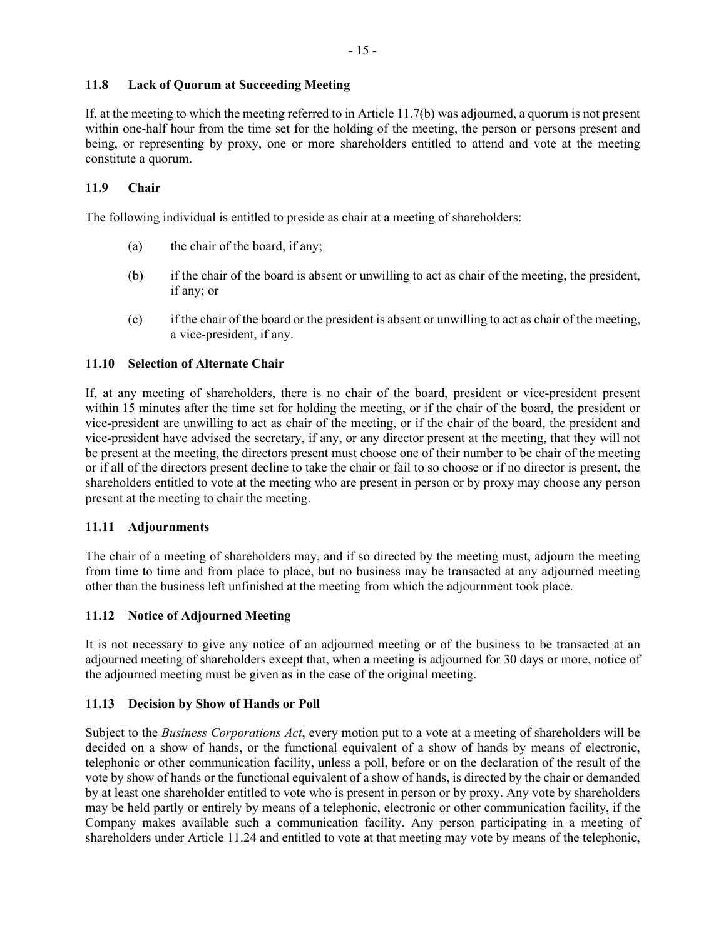## **11.8 Lack of Quorum at Succeeding Meeting**

If, at the meeting to which the meeting referred to in Article 11.7(b) was adjourned, a quorum is not present within one-half hour from the time set for the holding of the meeting, the person or persons present and being, or representing by proxy, one or more shareholders entitled to attend and vote at the meeting constitute a quorum.

## **11.9 Chair**

The following individual is entitled to preside as chair at a meeting of shareholders:

- (a) the chair of the board, if any;
- (b) if the chair of the board is absent or unwilling to act as chair of the meeting, the president, if any; or
- (c) if the chair of the board or the president is absent or unwilling to act as chair of the meeting, a vice-president, if any.

## **11.10 Selection of Alternate Chair**

If, at any meeting of shareholders, there is no chair of the board, president or vice-president present within 15 minutes after the time set for holding the meeting, or if the chair of the board, the president or vice-president are unwilling to act as chair of the meeting, or if the chair of the board, the president and vice-president have advised the secretary, if any, or any director present at the meeting, that they will not be present at the meeting, the directors present must choose one of their number to be chair of the meeting or if all of the directors present decline to take the chair or fail to so choose or if no director is present, the shareholders entitled to vote at the meeting who are present in person or by proxy may choose any person present at the meeting to chair the meeting.

## **11.11 Adjournments**

The chair of a meeting of shareholders may, and if so directed by the meeting must, adjourn the meeting from time to time and from place to place, but no business may be transacted at any adjourned meeting other than the business left unfinished at the meeting from which the adjournment took place.

# **11.12 Notice of Adjourned Meeting**

It is not necessary to give any notice of an adjourned meeting or of the business to be transacted at an adjourned meeting of shareholders except that, when a meeting is adjourned for 30 days or more, notice of the adjourned meeting must be given as in the case of the original meeting.

# **11.13 Decision by Show of Hands or Poll**

Subject to the *Business Corporations Act*, every motion put to a vote at a meeting of shareholders will be decided on a show of hands, or the functional equivalent of a show of hands by means of electronic, telephonic or other communication facility, unless a poll, before or on the declaration of the result of the vote by show of hands or the functional equivalent of a show of hands, is directed by the chair or demanded by at least one shareholder entitled to vote who is present in person or by proxy. Any vote by shareholders may be held partly or entirely by means of a telephonic, electronic or other communication facility, if the Company makes available such a communication facility. Any person participating in a meeting of shareholders under Article 11.24 and entitled to vote at that meeting may vote by means of the telephonic,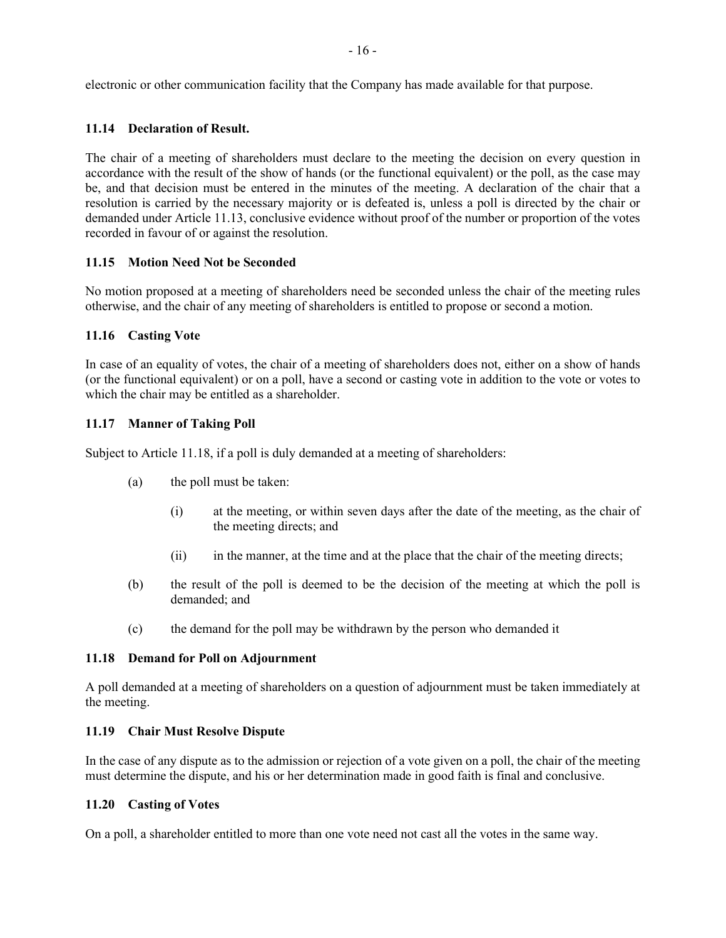electronic or other communication facility that the Company has made available for that purpose.

#### **11.14 Declaration of Result.**

The chair of a meeting of shareholders must declare to the meeting the decision on every question in accordance with the result of the show of hands (or the functional equivalent) or the poll, as the case may be, and that decision must be entered in the minutes of the meeting. A declaration of the chair that a resolution is carried by the necessary majority or is defeated is, unless a poll is directed by the chair or demanded under Article 11.13, conclusive evidence without proof of the number or proportion of the votes recorded in favour of or against the resolution.

#### **11.15 Motion Need Not be Seconded**

No motion proposed at a meeting of shareholders need be seconded unless the chair of the meeting rules otherwise, and the chair of any meeting of shareholders is entitled to propose or second a motion.

### **11.16 Casting Vote**

In case of an equality of votes, the chair of a meeting of shareholders does not, either on a show of hands (or the functional equivalent) or on a poll, have a second or casting vote in addition to the vote or votes to which the chair may be entitled as a shareholder.

#### **11.17 Manner of Taking Poll**

Subject to Article 11.18, if a poll is duly demanded at a meeting of shareholders:

- (a) the poll must be taken:
	- (i) at the meeting, or within seven days after the date of the meeting, as the chair of the meeting directs; and
	- (ii) in the manner, at the time and at the place that the chair of the meeting directs;
- (b) the result of the poll is deemed to be the decision of the meeting at which the poll is demanded; and
- (c) the demand for the poll may be withdrawn by the person who demanded it

#### **11.18 Demand for Poll on Adjournment**

A poll demanded at a meeting of shareholders on a question of adjournment must be taken immediately at the meeting.

#### **11.19 Chair Must Resolve Dispute**

In the case of any dispute as to the admission or rejection of a vote given on a poll, the chair of the meeting must determine the dispute, and his or her determination made in good faith is final and conclusive.

#### **11.20 Casting of Votes**

On a poll, a shareholder entitled to more than one vote need not cast all the votes in the same way.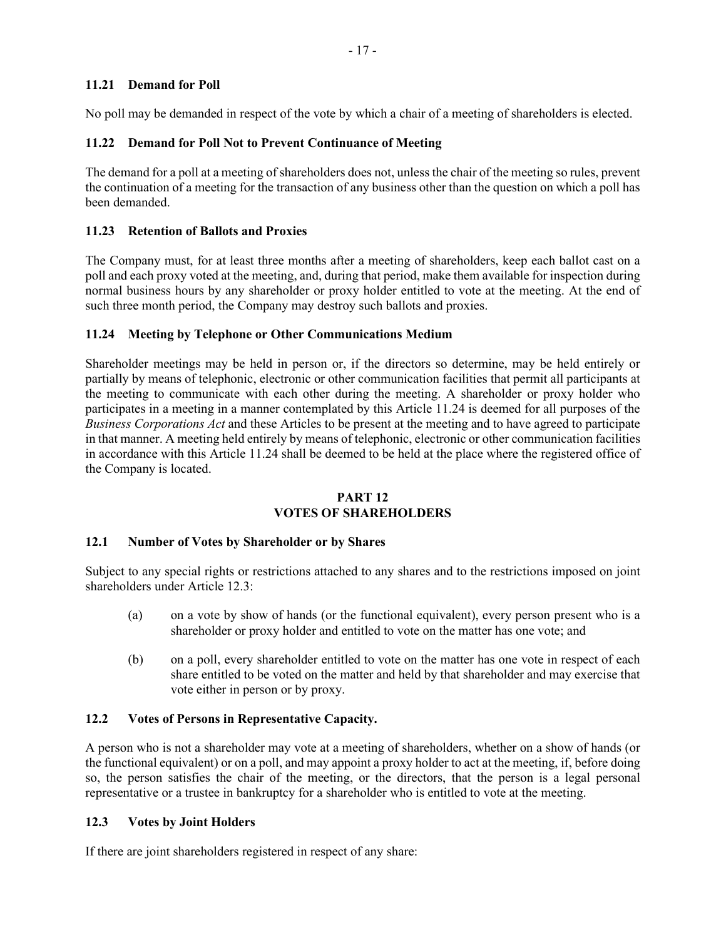## **11.21 Demand for Poll**

No poll may be demanded in respect of the vote by which a chair of a meeting of shareholders is elected.

# **11.22 Demand for Poll Not to Prevent Continuance of Meeting**

The demand for a poll at a meeting of shareholders does not, unless the chair of the meeting so rules, prevent the continuation of a meeting for the transaction of any business other than the question on which a poll has been demanded.

# **11.23 Retention of Ballots and Proxies**

The Company must, for at least three months after a meeting of shareholders, keep each ballot cast on a poll and each proxy voted at the meeting, and, during that period, make them available for inspection during normal business hours by any shareholder or proxy holder entitled to vote at the meeting. At the end of such three month period, the Company may destroy such ballots and proxies.

## **11.24 Meeting by Telephone or Other Communications Medium**

Shareholder meetings may be held in person or, if the directors so determine, may be held entirely or partially by means of telephonic, electronic or other communication facilities that permit all participants at the meeting to communicate with each other during the meeting. A shareholder or proxy holder who participates in a meeting in a manner contemplated by this Article 11.24 is deemed for all purposes of the *Business Corporations Act* and these Articles to be present at the meeting and to have agreed to participate in that manner. A meeting held entirely by means of telephonic, electronic or other communication facilities in accordance with this Article 11.24 shall be deemed to be held at the place where the registered office of the Company is located.

#### **PART 12 VOTES OF SHAREHOLDERS**

### **12.1 Number of Votes by Shareholder or by Shares**

Subject to any special rights or restrictions attached to any shares and to the restrictions imposed on joint shareholders under Article 12.3:

- (a) on a vote by show of hands (or the functional equivalent), every person present who is a shareholder or proxy holder and entitled to vote on the matter has one vote; and
- (b) on a poll, every shareholder entitled to vote on the matter has one vote in respect of each share entitled to be voted on the matter and held by that shareholder and may exercise that vote either in person or by proxy.

## **12.2 Votes of Persons in Representative Capacity.**

A person who is not a shareholder may vote at a meeting of shareholders, whether on a show of hands (or the functional equivalent) or on a poll, and may appoint a proxy holder to act at the meeting, if, before doing so, the person satisfies the chair of the meeting, or the directors, that the person is a legal personal representative or a trustee in bankruptcy for a shareholder who is entitled to vote at the meeting.

### **12.3 Votes by Joint Holders**

If there are joint shareholders registered in respect of any share: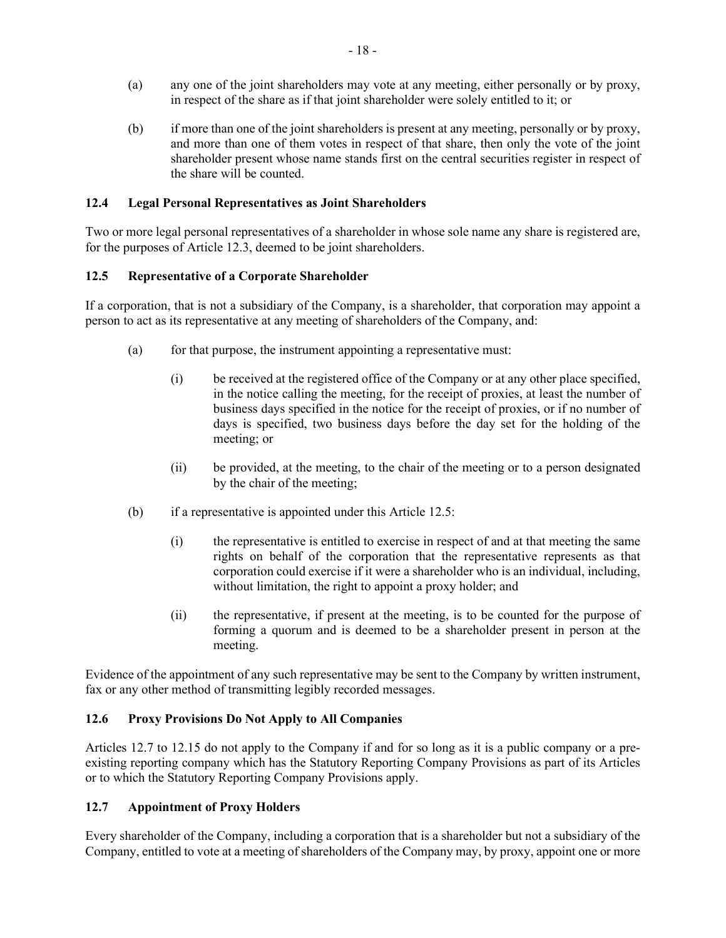- (a) any one of the joint shareholders may vote at any meeting, either personally or by proxy, in respect of the share as if that joint shareholder were solely entitled to it; or
- (b) if more than one of the joint shareholders is present at any meeting, personally or by proxy, and more than one of them votes in respect of that share, then only the vote of the joint shareholder present whose name stands first on the central securities register in respect of the share will be counted.

#### **12.4 Legal Personal Representatives as Joint Shareholders**

Two or more legal personal representatives of a shareholder in whose sole name any share is registered are, for the purposes of Article 12.3, deemed to be joint shareholders.

#### **12.5 Representative of a Corporate Shareholder**

If a corporation, that is not a subsidiary of the Company, is a shareholder, that corporation may appoint a person to act as its representative at any meeting of shareholders of the Company, and:

- (a) for that purpose, the instrument appointing a representative must:
	- (i) be received at the registered office of the Company or at any other place specified, in the notice calling the meeting, for the receipt of proxies, at least the number of business days specified in the notice for the receipt of proxies, or if no number of days is specified, two business days before the day set for the holding of the meeting; or
	- (ii) be provided, at the meeting, to the chair of the meeting or to a person designated by the chair of the meeting;
- (b) if a representative is appointed under this Article 12.5:
	- (i) the representative is entitled to exercise in respect of and at that meeting the same rights on behalf of the corporation that the representative represents as that corporation could exercise if it were a shareholder who is an individual, including, without limitation, the right to appoint a proxy holder; and
	- (ii) the representative, if present at the meeting, is to be counted for the purpose of forming a quorum and is deemed to be a shareholder present in person at the meeting.

Evidence of the appointment of any such representative may be sent to the Company by written instrument, fax or any other method of transmitting legibly recorded messages.

#### **12.6 Proxy Provisions Do Not Apply to All Companies**

Articles 12.7 to 12.15 do not apply to the Company if and for so long as it is a public company or a preexisting reporting company which has the Statutory Reporting Company Provisions as part of its Articles or to which the Statutory Reporting Company Provisions apply.

#### **12.7 Appointment of Proxy Holders**

Every shareholder of the Company, including a corporation that is a shareholder but not a subsidiary of the Company, entitled to vote at a meeting of shareholders of the Company may, by proxy, appoint one or more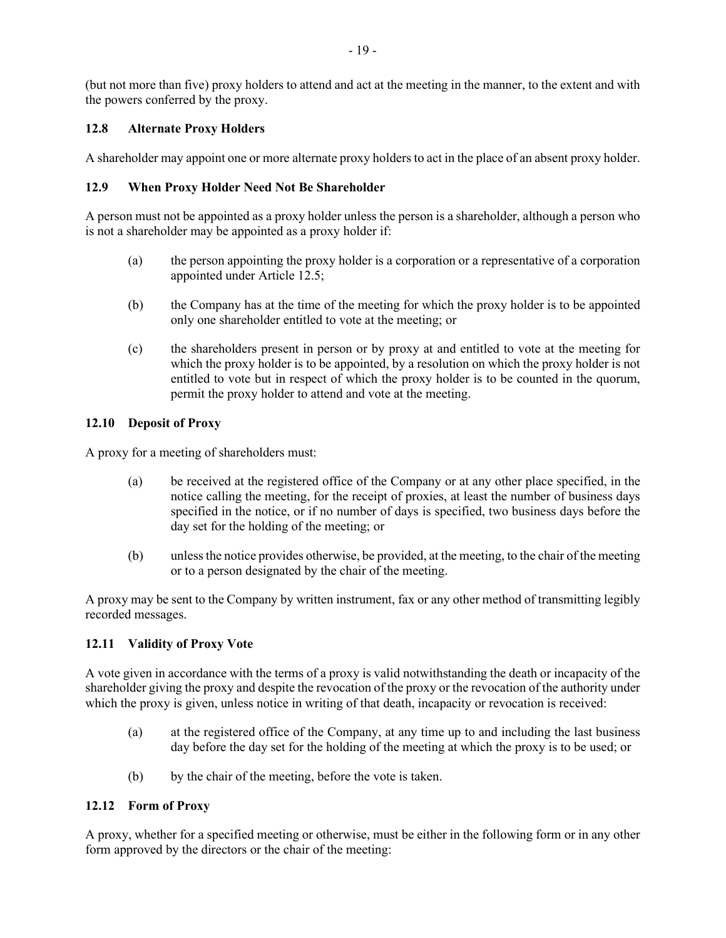(but not more than five) proxy holders to attend and act at the meeting in the manner, to the extent and with the powers conferred by the proxy.

## **12.8 Alternate Proxy Holders**

A shareholder may appoint one or more alternate proxy holders to act in the place of an absent proxy holder.

## **12.9 When Proxy Holder Need Not Be Shareholder**

A person must not be appointed as a proxy holder unless the person is a shareholder, although a person who is not a shareholder may be appointed as a proxy holder if:

- (a) the person appointing the proxy holder is a corporation or a representative of a corporation appointed under Article 12.5;
- (b) the Company has at the time of the meeting for which the proxy holder is to be appointed only one shareholder entitled to vote at the meeting; or
- (c) the shareholders present in person or by proxy at and entitled to vote at the meeting for which the proxy holder is to be appointed, by a resolution on which the proxy holder is not entitled to vote but in respect of which the proxy holder is to be counted in the quorum, permit the proxy holder to attend and vote at the meeting.

## **12.10 Deposit of Proxy**

A proxy for a meeting of shareholders must:

- (a) be received at the registered office of the Company or at any other place specified, in the notice calling the meeting, for the receipt of proxies, at least the number of business days specified in the notice, or if no number of days is specified, two business days before the day set for the holding of the meeting; or
- (b) unless the notice provides otherwise, be provided, at the meeting, to the chair of the meeting or to a person designated by the chair of the meeting.

A proxy may be sent to the Company by written instrument, fax or any other method of transmitting legibly recorded messages.

### **12.11 Validity of Proxy Vote**

A vote given in accordance with the terms of a proxy is valid notwithstanding the death or incapacity of the shareholder giving the proxy and despite the revocation of the proxy or the revocation of the authority under which the proxy is given, unless notice in writing of that death, incapacity or revocation is received:

- (a) at the registered office of the Company, at any time up to and including the last business day before the day set for the holding of the meeting at which the proxy is to be used; or
- (b) by the chair of the meeting, before the vote is taken.

### **12.12 Form of Proxy**

A proxy, whether for a specified meeting or otherwise, must be either in the following form or in any other form approved by the directors or the chair of the meeting: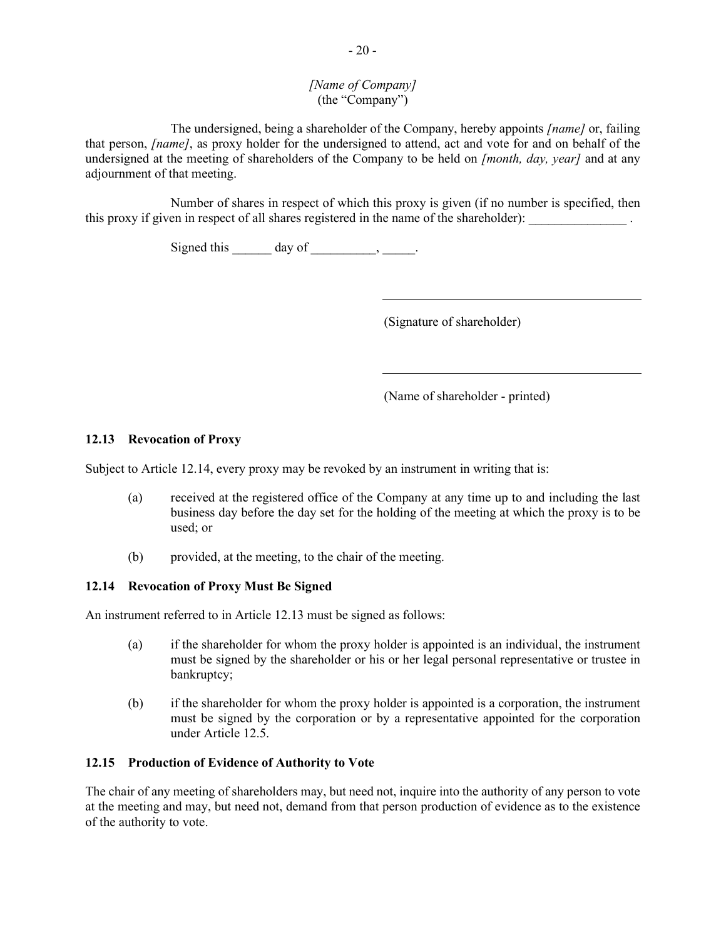## *[Name of Company]* (the "Company")

The undersigned, being a shareholder of the Company, hereby appoints *[name]* or, failing that person, *[name]*, as proxy holder for the undersigned to attend, act and vote for and on behalf of the undersigned at the meeting of shareholders of the Company to be held on *[month, day, year]* and at any adjournment of that meeting.

Number of shares in respect of which this proxy is given (if no number is specified, then this proxy if given in respect of all shares registered in the name of the shareholder):

Signed this  $\_\_\_\_\_\$  day of  $\_\_\_\_\_\_\_\_\_\_\_\_\_\_\_\_\_\_$ 

(Signature of shareholder)

(Name of shareholder - printed)

## **12.13 Revocation of Proxy**

Subject to Article 12.14, every proxy may be revoked by an instrument in writing that is:

- (a) received at the registered office of the Company at any time up to and including the last business day before the day set for the holding of the meeting at which the proxy is to be used; or
- (b) provided, at the meeting, to the chair of the meeting.

### **12.14 Revocation of Proxy Must Be Signed**

An instrument referred to in Article 12.13 must be signed as follows:

- (a) if the shareholder for whom the proxy holder is appointed is an individual, the instrument must be signed by the shareholder or his or her legal personal representative or trustee in bankruptcy;
- (b) if the shareholder for whom the proxy holder is appointed is a corporation, the instrument must be signed by the corporation or by a representative appointed for the corporation under Article 12.5.

### **12.15 Production of Evidence of Authority to Vote**

The chair of any meeting of shareholders may, but need not, inquire into the authority of any person to vote at the meeting and may, but need not, demand from that person production of evidence as to the existence of the authority to vote.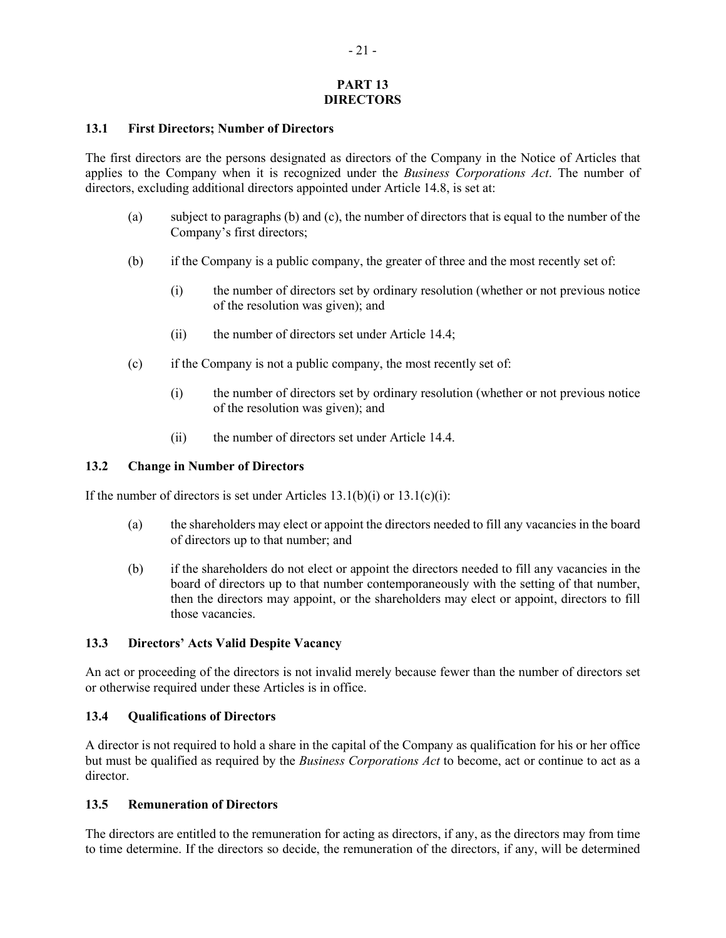### **PART 13 DIRECTORS**

#### **13.1 First Directors; Number of Directors**

The first directors are the persons designated as directors of the Company in the Notice of Articles that applies to the Company when it is recognized under the *Business Corporations Act*. The number of directors, excluding additional directors appointed under Article 14.8, is set at:

- (a) subject to paragraphs (b) and (c), the number of directors that is equal to the number of the Company's first directors;
- (b) if the Company is a public company, the greater of three and the most recently set of:
	- (i) the number of directors set by ordinary resolution (whether or not previous notice of the resolution was given); and
	- (ii) the number of directors set under Article 14.4;
- (c) if the Company is not a public company, the most recently set of:
	- (i) the number of directors set by ordinary resolution (whether or not previous notice of the resolution was given); and
	- (ii) the number of directors set under Article 14.4.

#### **13.2 Change in Number of Directors**

If the number of directors is set under Articles  $13.1(b)(i)$  or  $13.1(c)(i)$ :

- (a) the shareholders may elect or appoint the directors needed to fill any vacancies in the board of directors up to that number; and
- (b) if the shareholders do not elect or appoint the directors needed to fill any vacancies in the board of directors up to that number contemporaneously with the setting of that number, then the directors may appoint, or the shareholders may elect or appoint, directors to fill those vacancies.

#### **13.3 Directors' Acts Valid Despite Vacancy**

An act or proceeding of the directors is not invalid merely because fewer than the number of directors set or otherwise required under these Articles is in office.

#### **13.4 Qualifications of Directors**

A director is not required to hold a share in the capital of the Company as qualification for his or her office but must be qualified as required by the *Business Corporations Act* to become, act or continue to act as a director.

#### **13.5 Remuneration of Directors**

The directors are entitled to the remuneration for acting as directors, if any, as the directors may from time to time determine. If the directors so decide, the remuneration of the directors, if any, will be determined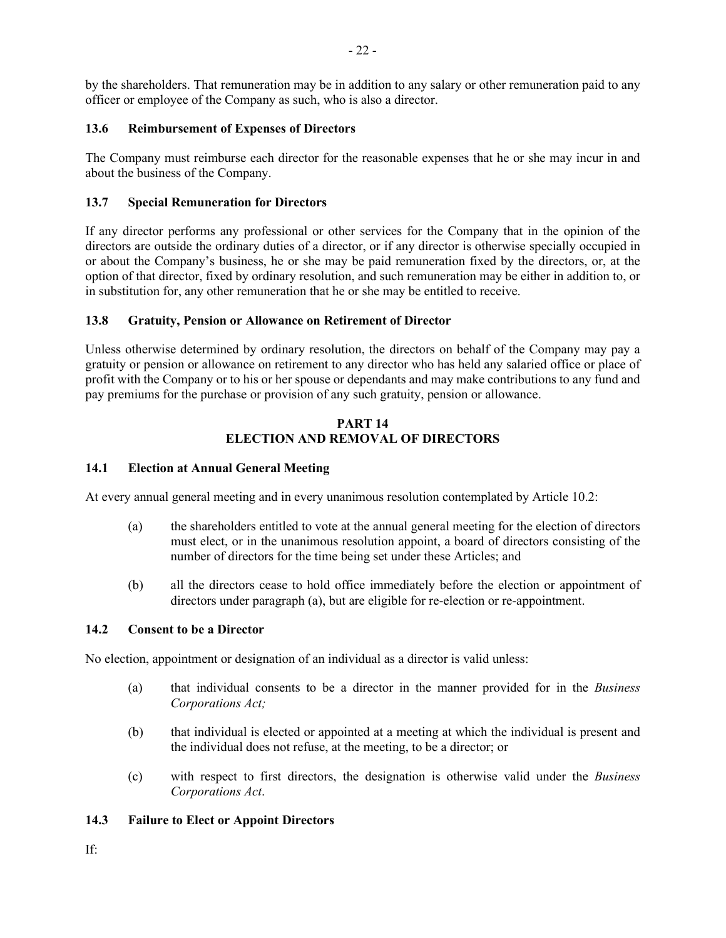by the shareholders. That remuneration may be in addition to any salary or other remuneration paid to any officer or employee of the Company as such, who is also a director.

## **13.6 Reimbursement of Expenses of Directors**

The Company must reimburse each director for the reasonable expenses that he or she may incur in and about the business of the Company.

# **13.7 Special Remuneration for Directors**

If any director performs any professional or other services for the Company that in the opinion of the directors are outside the ordinary duties of a director, or if any director is otherwise specially occupied in or about the Company's business, he or she may be paid remuneration fixed by the directors, or, at the option of that director, fixed by ordinary resolution, and such remuneration may be either in addition to, or in substitution for, any other remuneration that he or she may be entitled to receive.

### **13.8 Gratuity, Pension or Allowance on Retirement of Director**

Unless otherwise determined by ordinary resolution, the directors on behalf of the Company may pay a gratuity or pension or allowance on retirement to any director who has held any salaried office or place of profit with the Company or to his or her spouse or dependants and may make contributions to any fund and pay premiums for the purchase or provision of any such gratuity, pension or allowance.

## **PART 14 ELECTION AND REMOVAL OF DIRECTORS**

## **14.1 Election at Annual General Meeting**

At every annual general meeting and in every unanimous resolution contemplated by Article 10.2:

- (a) the shareholders entitled to vote at the annual general meeting for the election of directors must elect, or in the unanimous resolution appoint, a board of directors consisting of the number of directors for the time being set under these Articles; and
- (b) all the directors cease to hold office immediately before the election or appointment of directors under paragraph (a), but are eligible for re-election or re-appointment.

### **14.2 Consent to be a Director**

No election, appointment or designation of an individual as a director is valid unless:

- (a) that individual consents to be a director in the manner provided for in the *Business Corporations Act;*
- (b) that individual is elected or appointed at a meeting at which the individual is present and the individual does not refuse, at the meeting, to be a director; or
- (c) with respect to first directors, the designation is otherwise valid under the *Business Corporations Act*.

### **14.3 Failure to Elect or Appoint Directors**

If: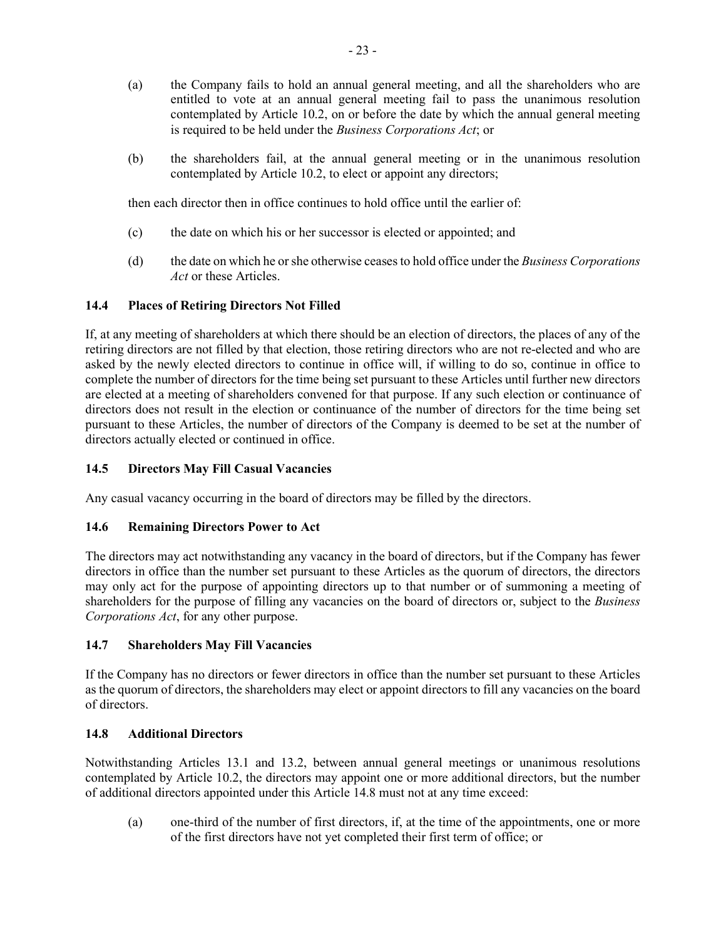- (a) the Company fails to hold an annual general meeting, and all the shareholders who are entitled to vote at an annual general meeting fail to pass the unanimous resolution contemplated by Article 10.2, on or before the date by which the annual general meeting is required to be held under the *Business Corporations Act*; or
- (b) the shareholders fail, at the annual general meeting or in the unanimous resolution contemplated by Article 10.2, to elect or appoint any directors;

then each director then in office continues to hold office until the earlier of:

- (c) the date on which his or her successor is elected or appointed; and
- (d) the date on which he or she otherwise ceasesto hold office under the *Business Corporations Act* or these Articles.

## **14.4 Places of Retiring Directors Not Filled**

If, at any meeting of shareholders at which there should be an election of directors, the places of any of the retiring directors are not filled by that election, those retiring directors who are not re-elected and who are asked by the newly elected directors to continue in office will, if willing to do so, continue in office to complete the number of directors for the time being set pursuant to these Articles until further new directors are elected at a meeting of shareholders convened for that purpose. If any such election or continuance of directors does not result in the election or continuance of the number of directors for the time being set pursuant to these Articles, the number of directors of the Company is deemed to be set at the number of directors actually elected or continued in office.

## **14.5 Directors May Fill Casual Vacancies**

Any casual vacancy occurring in the board of directors may be filled by the directors.

### **14.6 Remaining Directors Power to Act**

The directors may act notwithstanding any vacancy in the board of directors, but if the Company has fewer directors in office than the number set pursuant to these Articles as the quorum of directors, the directors may only act for the purpose of appointing directors up to that number or of summoning a meeting of shareholders for the purpose of filling any vacancies on the board of directors or, subject to the *Business Corporations Act*, for any other purpose.

### **14.7 Shareholders May Fill Vacancies**

If the Company has no directors or fewer directors in office than the number set pursuant to these Articles as the quorum of directors, the shareholders may elect or appoint directors to fill any vacancies on the board of directors.

### **14.8 Additional Directors**

Notwithstanding Articles 13.1 and 13.2, between annual general meetings or unanimous resolutions contemplated by Article 10.2, the directors may appoint one or more additional directors, but the number of additional directors appointed under this Article 14.8 must not at any time exceed:

(a) one-third of the number of first directors, if, at the time of the appointments, one or more of the first directors have not yet completed their first term of office; or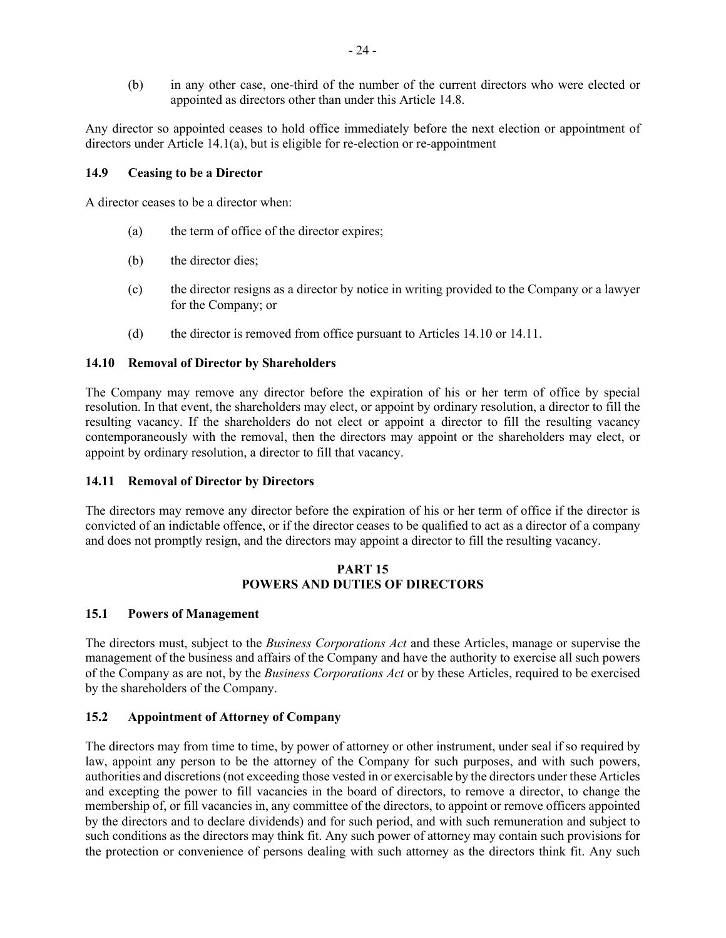(b) in any other case, one-third of the number of the current directors who were elected or appointed as directors other than under this Article 14.8.

Any director so appointed ceases to hold office immediately before the next election or appointment of directors under Article 14.1(a), but is eligible for re-election or re-appointment

#### **14.9 Ceasing to be a Director**

A director ceases to be a director when:

- (a) the term of office of the director expires;
- (b) the director dies;
- (c) the director resigns as a director by notice in writing provided to the Company or a lawyer for the Company; or
- (d) the director is removed from office pursuant to Articles 14.10 or 14.11.

#### **14.10 Removal of Director by Shareholders**

The Company may remove any director before the expiration of his or her term of office by special resolution. In that event, the shareholders may elect, or appoint by ordinary resolution, a director to fill the resulting vacancy. If the shareholders do not elect or appoint a director to fill the resulting vacancy contemporaneously with the removal, then the directors may appoint or the shareholders may elect, or appoint by ordinary resolution, a director to fill that vacancy.

### **14.11 Removal of Director by Directors**

The directors may remove any director before the expiration of his or her term of office if the director is convicted of an indictable offence, or if the director ceases to be qualified to act as a director of a company and does not promptly resign, and the directors may appoint a director to fill the resulting vacancy.

#### **PART 15 POWERS AND DUTIES OF DIRECTORS**

#### **15.1 Powers of Management**

The directors must, subject to the *Business Corporations Act* and these Articles, manage or supervise the management of the business and affairs of the Company and have the authority to exercise all such powers of the Company as are not, by the *Business Corporations Act* or by these Articles, required to be exercised by the shareholders of the Company.

### **15.2 Appointment of Attorney of Company**

The directors may from time to time, by power of attorney or other instrument, under seal if so required by law, appoint any person to be the attorney of the Company for such purposes, and with such powers, authorities and discretions (not exceeding those vested in or exercisable by the directors under these Articles and excepting the power to fill vacancies in the board of directors, to remove a director, to change the membership of, or fill vacancies in, any committee of the directors, to appoint or remove officers appointed by the directors and to declare dividends) and for such period, and with such remuneration and subject to such conditions as the directors may think fit. Any such power of attorney may contain such provisions for the protection or convenience of persons dealing with such attorney as the directors think fit. Any such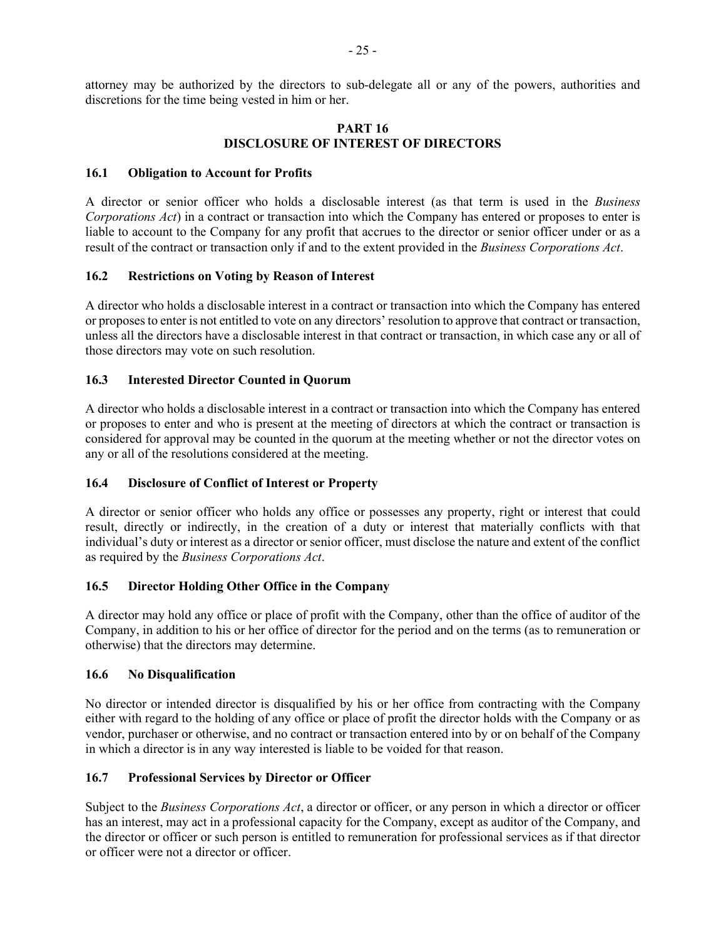attorney may be authorized by the directors to sub-delegate all or any of the powers, authorities and discretions for the time being vested in him or her.

#### **PART 16 DISCLOSURE OF INTEREST OF DIRECTORS**

### **16.1 Obligation to Account for Profits**

A director or senior officer who holds a disclosable interest (as that term is used in the *Business Corporations Act*) in a contract or transaction into which the Company has entered or proposes to enter is liable to account to the Company for any profit that accrues to the director or senior officer under or as a result of the contract or transaction only if and to the extent provided in the *Business Corporations Act*.

### **16.2 Restrictions on Voting by Reason of Interest**

A director who holds a disclosable interest in a contract or transaction into which the Company has entered or proposes to enter is not entitled to vote on any directors' resolution to approve that contract or transaction, unless all the directors have a disclosable interest in that contract or transaction, in which case any or all of those directors may vote on such resolution.

## **16.3 Interested Director Counted in Quorum**

A director who holds a disclosable interest in a contract or transaction into which the Company has entered or proposes to enter and who is present at the meeting of directors at which the contract or transaction is considered for approval may be counted in the quorum at the meeting whether or not the director votes on any or all of the resolutions considered at the meeting.

### **16.4 Disclosure of Conflict of Interest or Property**

A director or senior officer who holds any office or possesses any property, right or interest that could result, directly or indirectly, in the creation of a duty or interest that materially conflicts with that individual's duty or interest as a director or senior officer, must disclose the nature and extent of the conflict as required by the *Business Corporations Act*.

# **16.5 Director Holding Other Office in the Company**

A director may hold any office or place of profit with the Company, other than the office of auditor of the Company, in addition to his or her office of director for the period and on the terms (as to remuneration or otherwise) that the directors may determine.

### **16.6 No Disqualification**

No director or intended director is disqualified by his or her office from contracting with the Company either with regard to the holding of any office or place of profit the director holds with the Company or as vendor, purchaser or otherwise, and no contract or transaction entered into by or on behalf of the Company in which a director is in any way interested is liable to be voided for that reason.

# **16.7 Professional Services by Director or Officer**

Subject to the *Business Corporations Act*, a director or officer, or any person in which a director or officer has an interest, may act in a professional capacity for the Company, except as auditor of the Company, and the director or officer or such person is entitled to remuneration for professional services as if that director or officer were not a director or officer.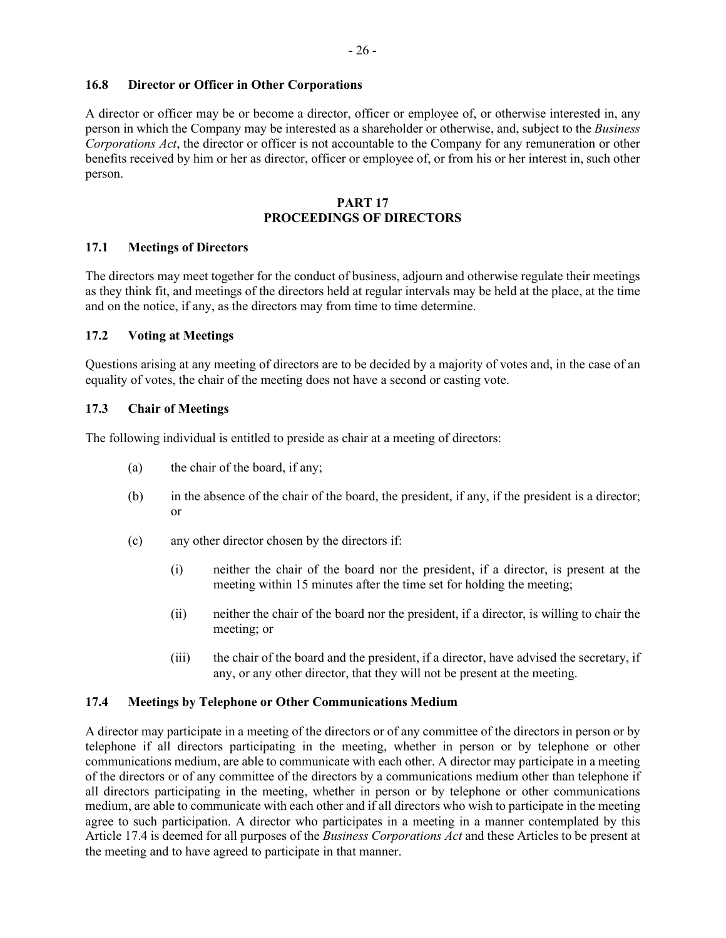## **16.8 Director or Officer in Other Corporations**

A director or officer may be or become a director, officer or employee of, or otherwise interested in, any person in which the Company may be interested as a shareholder or otherwise, and, subject to the *Business Corporations Act*, the director or officer is not accountable to the Company for any remuneration or other benefits received by him or her as director, officer or employee of, or from his or her interest in, such other person.

#### **PART 17 PROCEEDINGS OF DIRECTORS**

### **17.1 Meetings of Directors**

The directors may meet together for the conduct of business, adjourn and otherwise regulate their meetings as they think fit, and meetings of the directors held at regular intervals may be held at the place, at the time and on the notice, if any, as the directors may from time to time determine.

### **17.2 Voting at Meetings**

Questions arising at any meeting of directors are to be decided by a majority of votes and, in the case of an equality of votes, the chair of the meeting does not have a second or casting vote.

### **17.3 Chair of Meetings**

The following individual is entitled to preside as chair at a meeting of directors:

- (a) the chair of the board, if any;
- (b) in the absence of the chair of the board, the president, if any, if the president is a director; or
- (c) any other director chosen by the directors if:
	- (i) neither the chair of the board nor the president, if a director, is present at the meeting within 15 minutes after the time set for holding the meeting;
	- (ii) neither the chair of the board nor the president, if a director, is willing to chair the meeting; or
	- (iii) the chair of the board and the president, if a director, have advised the secretary, if any, or any other director, that they will not be present at the meeting.

### **17.4 Meetings by Telephone or Other Communications Medium**

A director may participate in a meeting of the directors or of any committee of the directors in person or by telephone if all directors participating in the meeting, whether in person or by telephone or other communications medium, are able to communicate with each other. A director may participate in a meeting of the directors or of any committee of the directors by a communications medium other than telephone if all directors participating in the meeting, whether in person or by telephone or other communications medium, are able to communicate with each other and if all directors who wish to participate in the meeting agree to such participation. A director who participates in a meeting in a manner contemplated by this Article 17.4 is deemed for all purposes of the *Business Corporations Act* and these Articles to be present at the meeting and to have agreed to participate in that manner.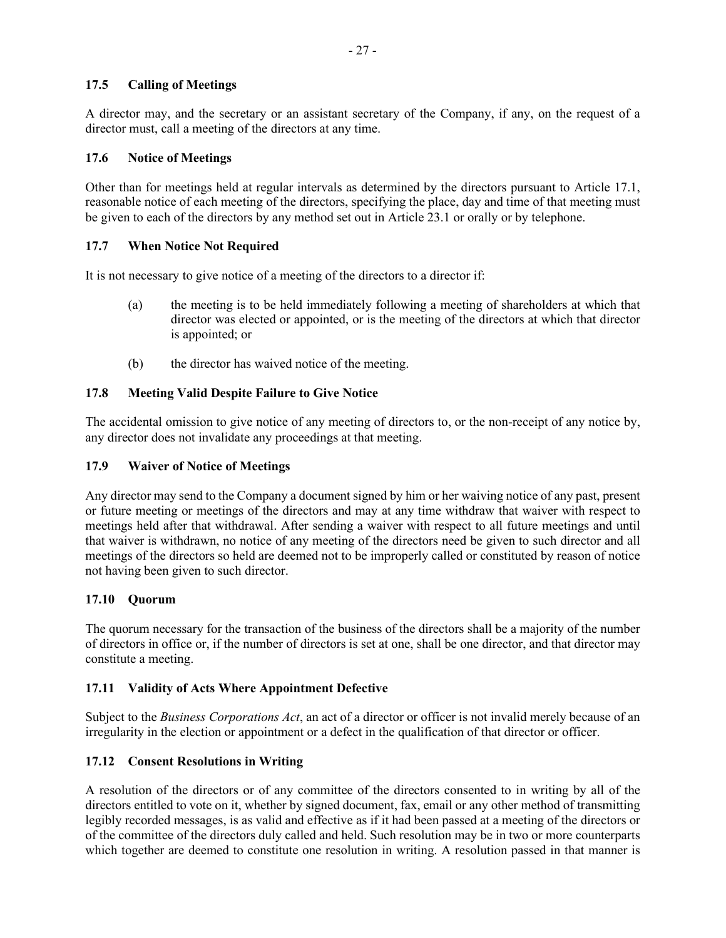# **17.5 Calling of Meetings**

A director may, and the secretary or an assistant secretary of the Company, if any, on the request of a director must, call a meeting of the directors at any time.

## **17.6 Notice of Meetings**

Other than for meetings held at regular intervals as determined by the directors pursuant to Article 17.1, reasonable notice of each meeting of the directors, specifying the place, day and time of that meeting must be given to each of the directors by any method set out in Article 23.1 or orally or by telephone.

## **17.7 When Notice Not Required**

It is not necessary to give notice of a meeting of the directors to a director if:

- (a) the meeting is to be held immediately following a meeting of shareholders at which that director was elected or appointed, or is the meeting of the directors at which that director is appointed; or
- (b) the director has waived notice of the meeting.

## **17.8 Meeting Valid Despite Failure to Give Notice**

The accidental omission to give notice of any meeting of directors to, or the non-receipt of any notice by, any director does not invalidate any proceedings at that meeting.

## **17.9 Waiver of Notice of Meetings**

Any director may send to the Company a document signed by him or her waiving notice of any past, present or future meeting or meetings of the directors and may at any time withdraw that waiver with respect to meetings held after that withdrawal. After sending a waiver with respect to all future meetings and until that waiver is withdrawn, no notice of any meeting of the directors need be given to such director and all meetings of the directors so held are deemed not to be improperly called or constituted by reason of notice not having been given to such director.

### **17.10 Quorum**

The quorum necessary for the transaction of the business of the directors shall be a majority of the number of directors in office or, if the number of directors is set at one, shall be one director, and that director may constitute a meeting.

# **17.11 Validity of Acts Where Appointment Defective**

Subject to the *Business Corporations Act*, an act of a director or officer is not invalid merely because of an irregularity in the election or appointment or a defect in the qualification of that director or officer.

# **17.12 Consent Resolutions in Writing**

A resolution of the directors or of any committee of the directors consented to in writing by all of the directors entitled to vote on it, whether by signed document, fax, email or any other method of transmitting legibly recorded messages, is as valid and effective as if it had been passed at a meeting of the directors or of the committee of the directors duly called and held. Such resolution may be in two or more counterparts which together are deemed to constitute one resolution in writing. A resolution passed in that manner is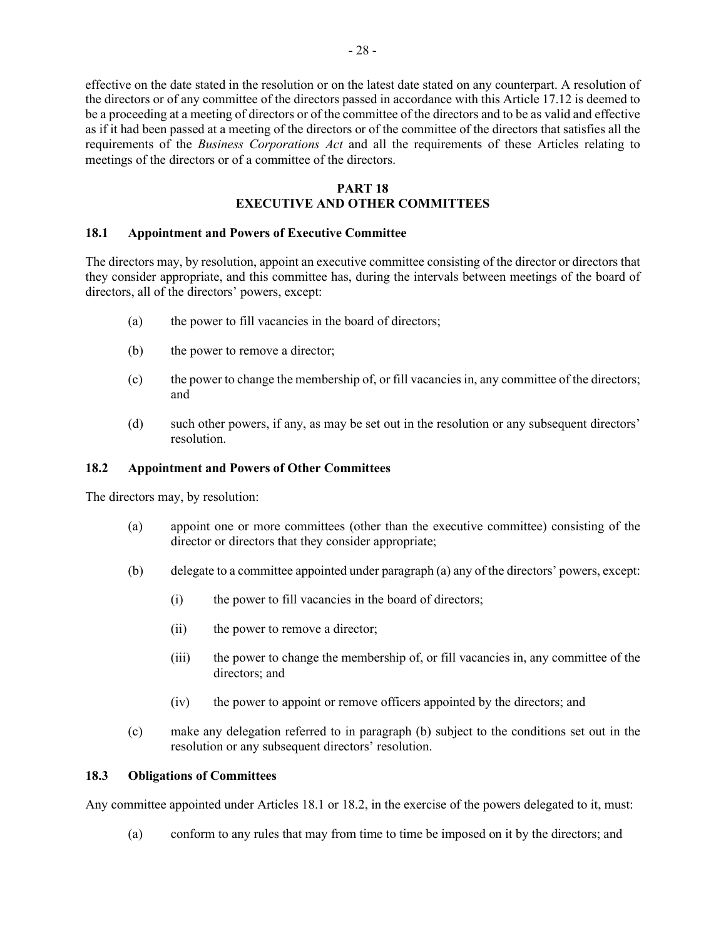effective on the date stated in the resolution or on the latest date stated on any counterpart. A resolution of the directors or of any committee of the directors passed in accordance with this Article 17.12 is deemed to be a proceeding at a meeting of directors or of the committee of the directors and to be as valid and effective as if it had been passed at a meeting of the directors or of the committee of the directors that satisfies all the requirements of the *Business Corporations Act* and all the requirements of these Articles relating to meetings of the directors or of a committee of the directors.

# **PART 18**

# **EXECUTIVE AND OTHER COMMITTEES**

## **18.1 Appointment and Powers of Executive Committee**

The directors may, by resolution, appoint an executive committee consisting of the director or directors that they consider appropriate, and this committee has, during the intervals between meetings of the board of directors, all of the directors' powers, except:

- (a) the power to fill vacancies in the board of directors;
- (b) the power to remove a director;
- (c) the power to change the membership of, or fill vacancies in, any committee of the directors; and
- (d) such other powers, if any, as may be set out in the resolution or any subsequent directors' resolution.

## **18.2 Appointment and Powers of Other Committees**

The directors may, by resolution:

- (a) appoint one or more committees (other than the executive committee) consisting of the director or directors that they consider appropriate;
- (b) delegate to a committee appointed under paragraph (a) any of the directors' powers, except:
	- (i) the power to fill vacancies in the board of directors;
	- (ii) the power to remove a director;
	- (iii) the power to change the membership of, or fill vacancies in, any committee of the directors; and
	- (iv) the power to appoint or remove officers appointed by the directors; and
- (c) make any delegation referred to in paragraph (b) subject to the conditions set out in the resolution or any subsequent directors' resolution.

### **18.3 Obligations of Committees**

Any committee appointed under Articles 18.1 or 18.2, in the exercise of the powers delegated to it, must:

(a) conform to any rules that may from time to time be imposed on it by the directors; and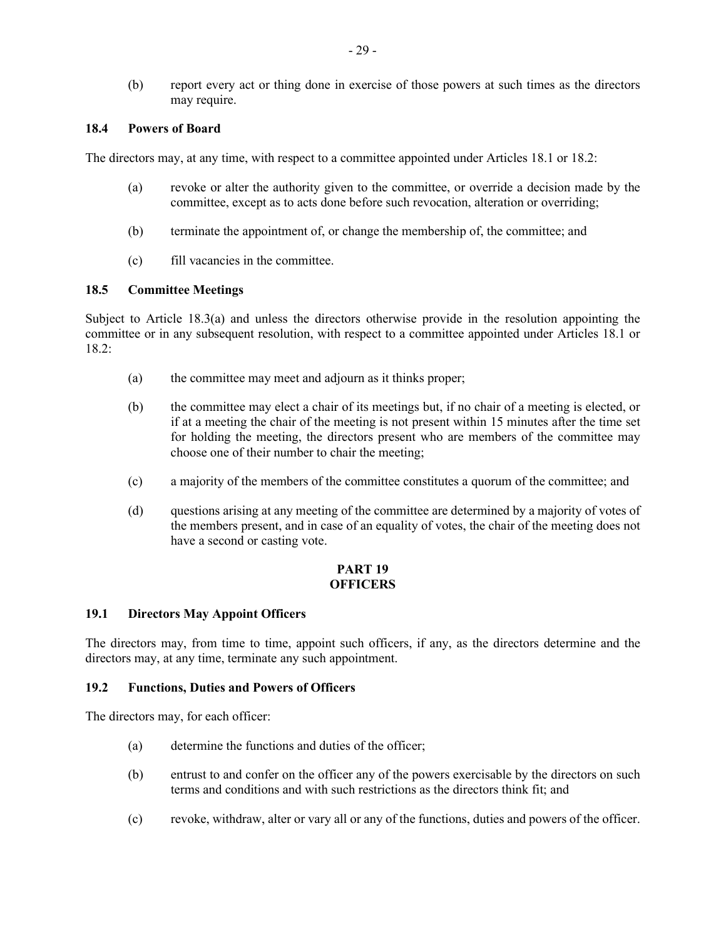(b) report every act or thing done in exercise of those powers at such times as the directors may require.

#### **18.4 Powers of Board**

The directors may, at any time, with respect to a committee appointed under Articles 18.1 or 18.2:

- (a) revoke or alter the authority given to the committee, or override a decision made by the committee, except as to acts done before such revocation, alteration or overriding;
- (b) terminate the appointment of, or change the membership of, the committee; and
- (c) fill vacancies in the committee.

#### **18.5 Committee Meetings**

Subject to Article 18.3(a) and unless the directors otherwise provide in the resolution appointing the committee or in any subsequent resolution, with respect to a committee appointed under Articles 18.1 or 18.2:

- (a) the committee may meet and adjourn as it thinks proper;
- (b) the committee may elect a chair of its meetings but, if no chair of a meeting is elected, or if at a meeting the chair of the meeting is not present within 15 minutes after the time set for holding the meeting, the directors present who are members of the committee may choose one of their number to chair the meeting;
- (c) a majority of the members of the committee constitutes a quorum of the committee; and
- (d) questions arising at any meeting of the committee are determined by a majority of votes of the members present, and in case of an equality of votes, the chair of the meeting does not have a second or casting vote.

#### **PART 19 OFFICERS**

#### **19.1 Directors May Appoint Officers**

The directors may, from time to time, appoint such officers, if any, as the directors determine and the directors may, at any time, terminate any such appointment.

### **19.2 Functions, Duties and Powers of Officers**

The directors may, for each officer:

- (a) determine the functions and duties of the officer;
- (b) entrust to and confer on the officer any of the powers exercisable by the directors on such terms and conditions and with such restrictions as the directors think fit; and
- (c) revoke, withdraw, alter or vary all or any of the functions, duties and powers of the officer.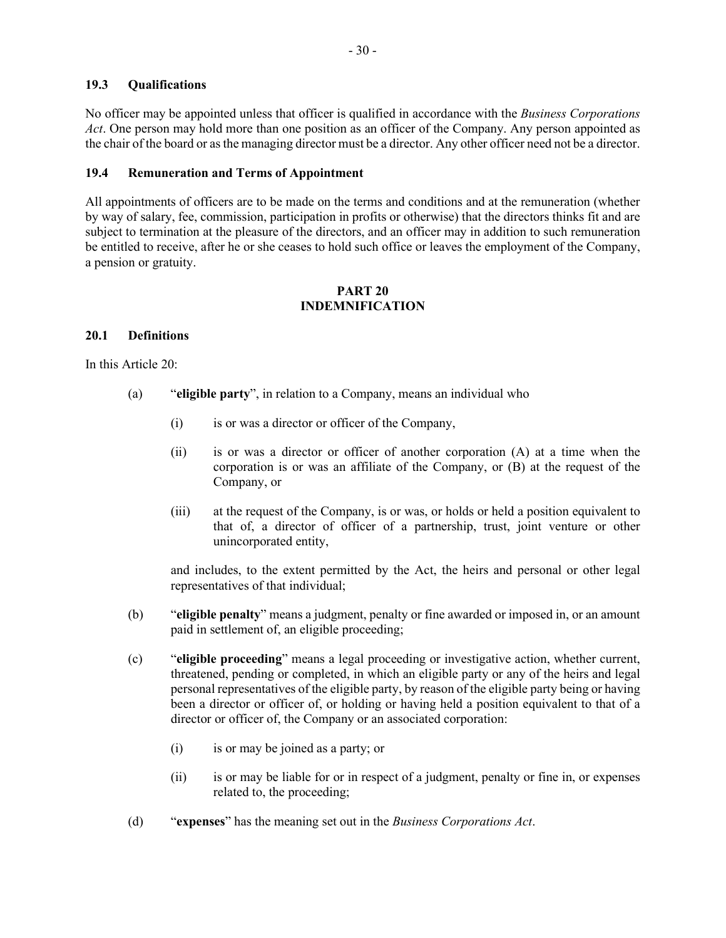## **19.3 Qualifications**

No officer may be appointed unless that officer is qualified in accordance with the *Business Corporations Act*. One person may hold more than one position as an officer of the Company. Any person appointed as the chair of the board or as the managing director must be a director. Any other officer need not be a director.

## **19.4 Remuneration and Terms of Appointment**

All appointments of officers are to be made on the terms and conditions and at the remuneration (whether by way of salary, fee, commission, participation in profits or otherwise) that the directors thinks fit and are subject to termination at the pleasure of the directors, and an officer may in addition to such remuneration be entitled to receive, after he or she ceases to hold such office or leaves the employment of the Company, a pension or gratuity.

## **PART 20 INDEMNIFICATION**

## **20.1 Definitions**

In this Article 20:

- (a) "**eligible party**", in relation to a Company, means an individual who
	- (i) is or was a director or officer of the Company,
	- (ii) is or was a director or officer of another corporation (A) at a time when the corporation is or was an affiliate of the Company, or (B) at the request of the Company, or
	- (iii) at the request of the Company, is or was, or holds or held a position equivalent to that of, a director of officer of a partnership, trust, joint venture or other unincorporated entity,

and includes, to the extent permitted by the Act, the heirs and personal or other legal representatives of that individual;

- (b) "**eligible penalty**" means a judgment, penalty or fine awarded or imposed in, or an amount paid in settlement of, an eligible proceeding;
- (c) "**eligible proceeding**" means a legal proceeding or investigative action, whether current, threatened, pending or completed, in which an eligible party or any of the heirs and legal personal representatives of the eligible party, by reason of the eligible party being or having been a director or officer of, or holding or having held a position equivalent to that of a director or officer of, the Company or an associated corporation:
	- (i) is or may be joined as a party; or
	- (ii) is or may be liable for or in respect of a judgment, penalty or fine in, or expenses related to, the proceeding;
- (d) "**expenses**" has the meaning set out in the *Business Corporations Act*.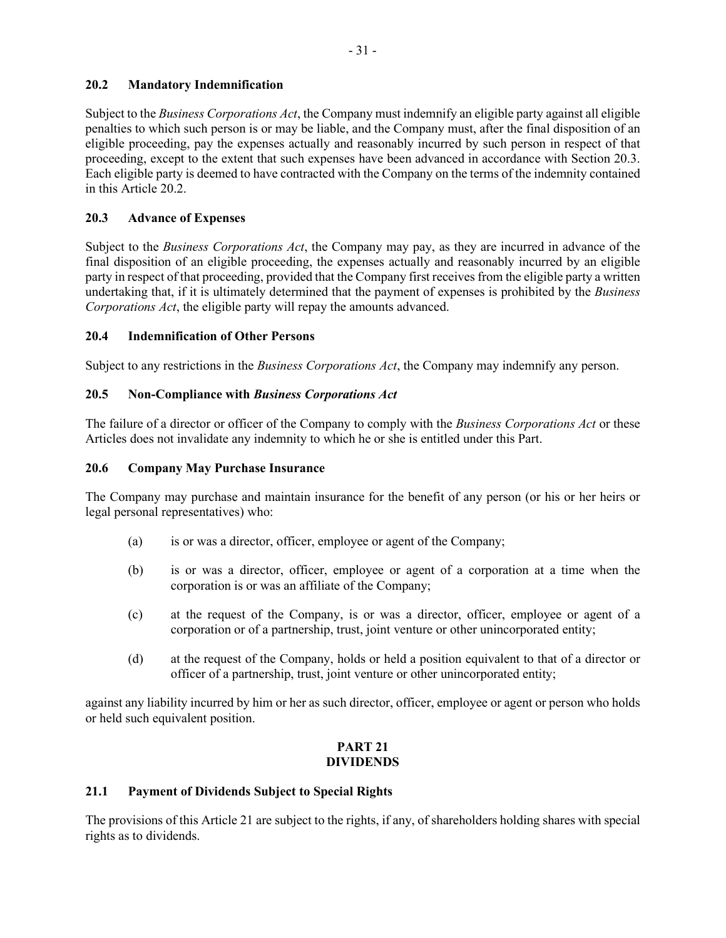# **20.2 Mandatory Indemnification**

Subject to the *Business Corporations Act*, the Company must indemnify an eligible party against all eligible penalties to which such person is or may be liable, and the Company must, after the final disposition of an eligible proceeding, pay the expenses actually and reasonably incurred by such person in respect of that proceeding, except to the extent that such expenses have been advanced in accordance with Section 20.3. Each eligible party is deemed to have contracted with the Company on the terms of the indemnity contained in this Article 20.2.

# **20.3 Advance of Expenses**

Subject to the *Business Corporations Act*, the Company may pay, as they are incurred in advance of the final disposition of an eligible proceeding, the expenses actually and reasonably incurred by an eligible party in respect of that proceeding, provided that the Company first receives from the eligible party a written undertaking that, if it is ultimately determined that the payment of expenses is prohibited by the *Business Corporations Act*, the eligible party will repay the amounts advanced.

# **20.4 Indemnification of Other Persons**

Subject to any restrictions in the *Business Corporations Act*, the Company may indemnify any person.

# **20.5 Non-Compliance with** *Business Corporations Act*

The failure of a director or officer of the Company to comply with the *Business Corporations Act* or these Articles does not invalidate any indemnity to which he or she is entitled under this Part.

# **20.6 Company May Purchase Insurance**

The Company may purchase and maintain insurance for the benefit of any person (or his or her heirs or legal personal representatives) who:

- (a) is or was a director, officer, employee or agent of the Company;
- (b) is or was a director, officer, employee or agent of a corporation at a time when the corporation is or was an affiliate of the Company;
- (c) at the request of the Company, is or was a director, officer, employee or agent of a corporation or of a partnership, trust, joint venture or other unincorporated entity;
- (d) at the request of the Company, holds or held a position equivalent to that of a director or officer of a partnership, trust, joint venture or other unincorporated entity;

against any liability incurred by him or her as such director, officer, employee or agent or person who holds or held such equivalent position.

# **PART 21 DIVIDENDS**

# **21.1 Payment of Dividends Subject to Special Rights**

The provisions of this Article 21 are subject to the rights, if any, of shareholders holding shares with special rights as to dividends.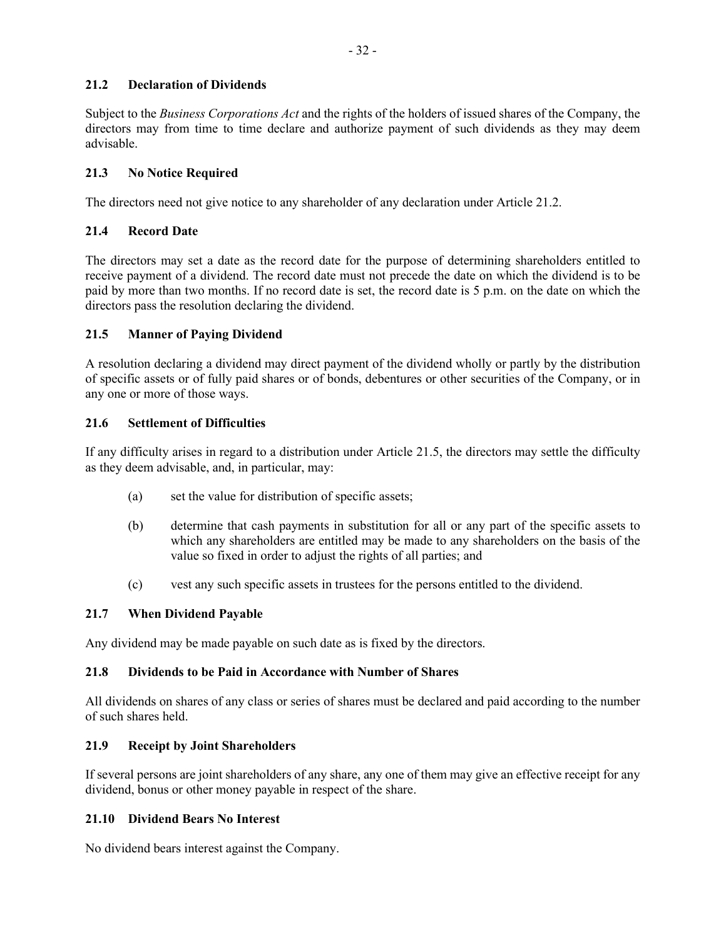# **21.2 Declaration of Dividends**

Subject to the *Business Corporations Act* and the rights of the holders of issued shares of the Company, the directors may from time to time declare and authorize payment of such dividends as they may deem advisable.

## **21.3 No Notice Required**

The directors need not give notice to any shareholder of any declaration under Article 21.2.

## **21.4 Record Date**

The directors may set a date as the record date for the purpose of determining shareholders entitled to receive payment of a dividend. The record date must not precede the date on which the dividend is to be paid by more than two months. If no record date is set, the record date is 5 p.m. on the date on which the directors pass the resolution declaring the dividend.

### **21.5 Manner of Paying Dividend**

A resolution declaring a dividend may direct payment of the dividend wholly or partly by the distribution of specific assets or of fully paid shares or of bonds, debentures or other securities of the Company, or in any one or more of those ways.

### **21.6 Settlement of Difficulties**

If any difficulty arises in regard to a distribution under Article 21.5, the directors may settle the difficulty as they deem advisable, and, in particular, may:

- (a) set the value for distribution of specific assets;
- (b) determine that cash payments in substitution for all or any part of the specific assets to which any shareholders are entitled may be made to any shareholders on the basis of the value so fixed in order to adjust the rights of all parties; and
- (c) vest any such specific assets in trustees for the persons entitled to the dividend.

### **21.7 When Dividend Payable**

Any dividend may be made payable on such date as is fixed by the directors.

### **21.8 Dividends to be Paid in Accordance with Number of Shares**

All dividends on shares of any class or series of shares must be declared and paid according to the number of such shares held.

### **21.9 Receipt by Joint Shareholders**

If several persons are joint shareholders of any share, any one of them may give an effective receipt for any dividend, bonus or other money payable in respect of the share.

### **21.10 Dividend Bears No Interest**

No dividend bears interest against the Company.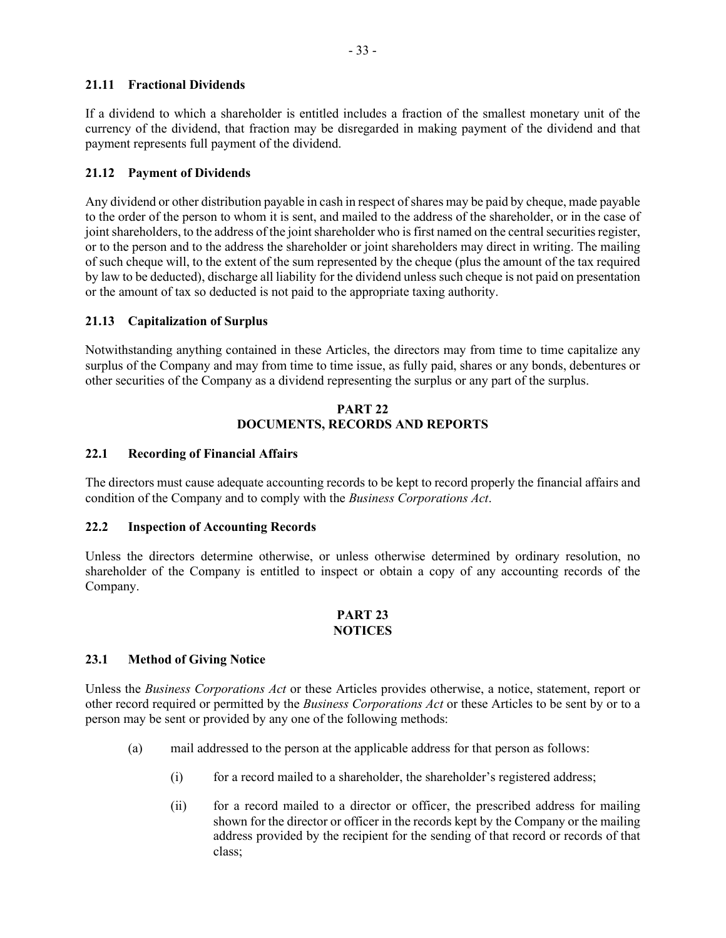## **21.11 Fractional Dividends**

If a dividend to which a shareholder is entitled includes a fraction of the smallest monetary unit of the currency of the dividend, that fraction may be disregarded in making payment of the dividend and that payment represents full payment of the dividend.

## **21.12 Payment of Dividends**

Any dividend or other distribution payable in cash in respect of shares may be paid by cheque, made payable to the order of the person to whom it is sent, and mailed to the address of the shareholder, or in the case of joint shareholders, to the address of the joint shareholder who is first named on the central securities register, or to the person and to the address the shareholder or joint shareholders may direct in writing. The mailing of such cheque will, to the extent of the sum represented by the cheque (plus the amount of the tax required by law to be deducted), discharge all liability for the dividend unless such cheque is not paid on presentation or the amount of tax so deducted is not paid to the appropriate taxing authority.

## **21.13 Capitalization of Surplus**

Notwithstanding anything contained in these Articles, the directors may from time to time capitalize any surplus of the Company and may from time to time issue, as fully paid, shares or any bonds, debentures or other securities of the Company as a dividend representing the surplus or any part of the surplus.

#### **PART 22 DOCUMENTS, RECORDS AND REPORTS**

### **22.1 Recording of Financial Affairs**

The directors must cause adequate accounting records to be kept to record properly the financial affairs and condition of the Company and to comply with the *Business Corporations Act*.

### **22.2 Inspection of Accounting Records**

Unless the directors determine otherwise, or unless otherwise determined by ordinary resolution, no shareholder of the Company is entitled to inspect or obtain a copy of any accounting records of the Company.

### **PART 23 NOTICES**

## **23.1 Method of Giving Notice**

Unless the *Business Corporations Act* or these Articles provides otherwise, a notice, statement, report or other record required or permitted by the *Business Corporations Act* or these Articles to be sent by or to a person may be sent or provided by any one of the following methods:

- (a) mail addressed to the person at the applicable address for that person as follows:
	- (i) for a record mailed to a shareholder, the shareholder's registered address;
	- (ii) for a record mailed to a director or officer, the prescribed address for mailing shown for the director or officer in the records kept by the Company or the mailing address provided by the recipient for the sending of that record or records of that class;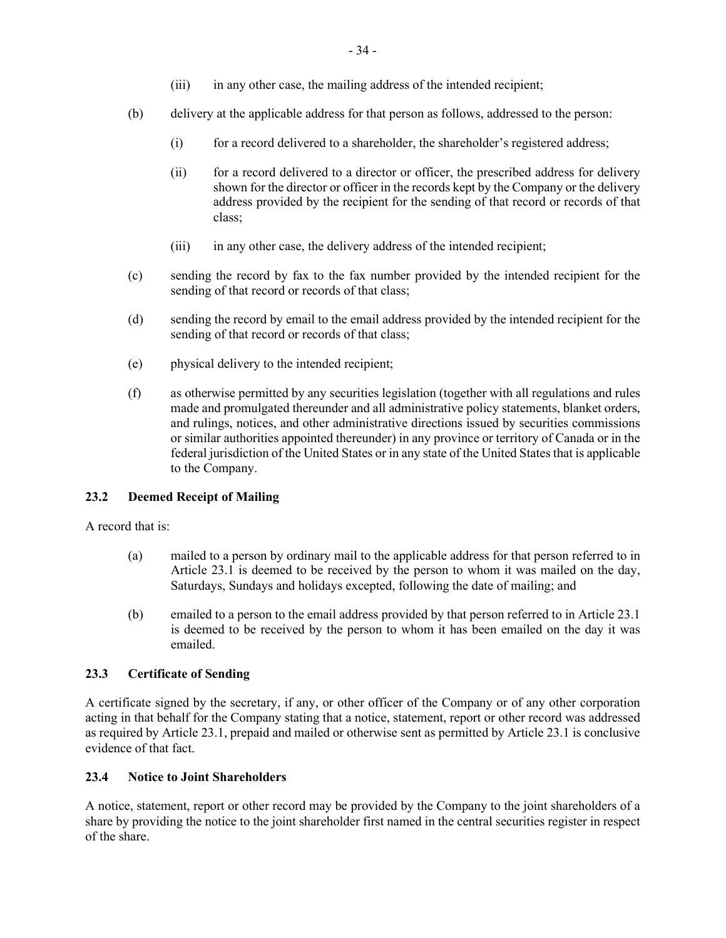- (iii) in any other case, the mailing address of the intended recipient;
- (b) delivery at the applicable address for that person as follows, addressed to the person:
	- (i) for a record delivered to a shareholder, the shareholder's registered address;
	- (ii) for a record delivered to a director or officer, the prescribed address for delivery shown for the director or officer in the records kept by the Company or the delivery address provided by the recipient for the sending of that record or records of that class;
	- (iii) in any other case, the delivery address of the intended recipient;
- (c) sending the record by fax to the fax number provided by the intended recipient for the sending of that record or records of that class;
- (d) sending the record by email to the email address provided by the intended recipient for the sending of that record or records of that class;
- (e) physical delivery to the intended recipient;
- (f) as otherwise permitted by any securities legislation (together with all regulations and rules made and promulgated thereunder and all administrative policy statements, blanket orders, and rulings, notices, and other administrative directions issued by securities commissions or similar authorities appointed thereunder) in any province or territory of Canada or in the federal jurisdiction of the United States or in any state of the United States that is applicable to the Company.

### **23.2 Deemed Receipt of Mailing**

A record that is:

- (a) mailed to a person by ordinary mail to the applicable address for that person referred to in Article 23.1 is deemed to be received by the person to whom it was mailed on the day, Saturdays, Sundays and holidays excepted, following the date of mailing; and
- (b) emailed to a person to the email address provided by that person referred to in Article 23.1 is deemed to be received by the person to whom it has been emailed on the day it was emailed.

# **23.3 Certificate of Sending**

A certificate signed by the secretary, if any, or other officer of the Company or of any other corporation acting in that behalf for the Company stating that a notice, statement, report or other record was addressed as required by Article 23.1, prepaid and mailed or otherwise sent as permitted by Article 23.1 is conclusive evidence of that fact.

### **23.4 Notice to Joint Shareholders**

A notice, statement, report or other record may be provided by the Company to the joint shareholders of a share by providing the notice to the joint shareholder first named in the central securities register in respect of the share.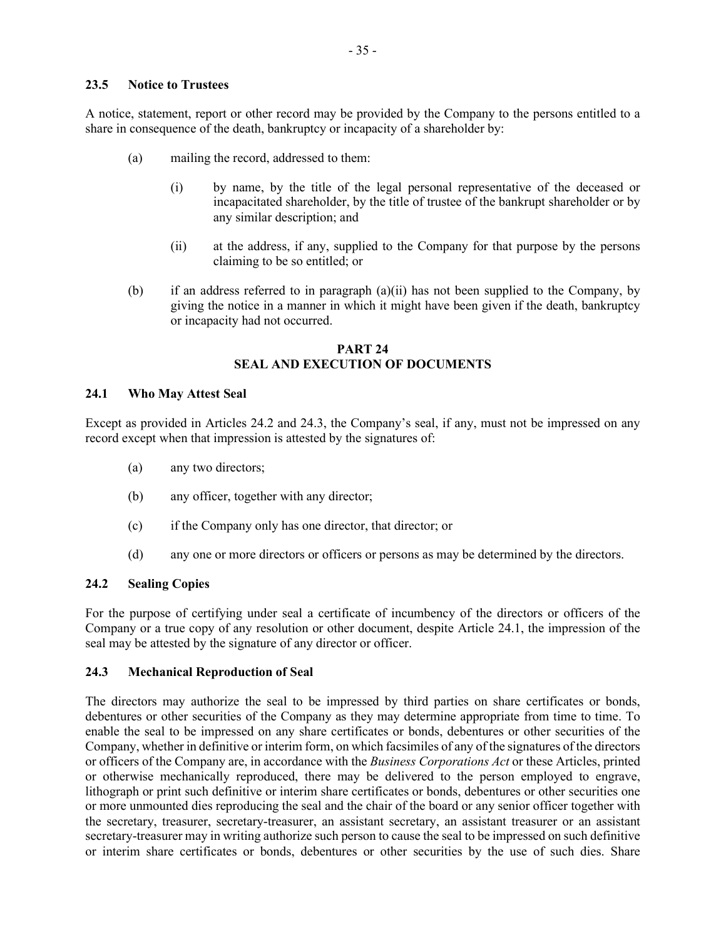#### **23.5 Notice to Trustees**

A notice, statement, report or other record may be provided by the Company to the persons entitled to a share in consequence of the death, bankruptcy or incapacity of a shareholder by:

- (a) mailing the record, addressed to them:
	- (i) by name, by the title of the legal personal representative of the deceased or incapacitated shareholder, by the title of trustee of the bankrupt shareholder or by any similar description; and
	- (ii) at the address, if any, supplied to the Company for that purpose by the persons claiming to be so entitled; or
- (b) if an address referred to in paragraph (a)(ii) has not been supplied to the Company, by giving the notice in a manner in which it might have been given if the death, bankruptcy or incapacity had not occurred.

## **PART 24 SEAL AND EXECUTION OF DOCUMENTS**

#### **24.1 Who May Attest Seal**

Except as provided in Articles 24.2 and 24.3, the Company's seal, if any, must not be impressed on any record except when that impression is attested by the signatures of:

- (a) any two directors;
- (b) any officer, together with any director;
- (c) if the Company only has one director, that director; or
- (d) any one or more directors or officers or persons as may be determined by the directors.

## **24.2 Sealing Copies**

For the purpose of certifying under seal a certificate of incumbency of the directors or officers of the Company or a true copy of any resolution or other document, despite Article 24.1, the impression of the seal may be attested by the signature of any director or officer.

#### **24.3 Mechanical Reproduction of Seal**

The directors may authorize the seal to be impressed by third parties on share certificates or bonds, debentures or other securities of the Company as they may determine appropriate from time to time. To enable the seal to be impressed on any share certificates or bonds, debentures or other securities of the Company, whether in definitive or interim form, on which facsimiles of any of the signatures of the directors or officers of the Company are, in accordance with the *Business Corporations Act* or these Articles, printed or otherwise mechanically reproduced, there may be delivered to the person employed to engrave, lithograph or print such definitive or interim share certificates or bonds, debentures or other securities one or more unmounted dies reproducing the seal and the chair of the board or any senior officer together with the secretary, treasurer, secretary-treasurer, an assistant secretary, an assistant treasurer or an assistant secretary-treasurer may in writing authorize such person to cause the seal to be impressed on such definitive or interim share certificates or bonds, debentures or other securities by the use of such dies. Share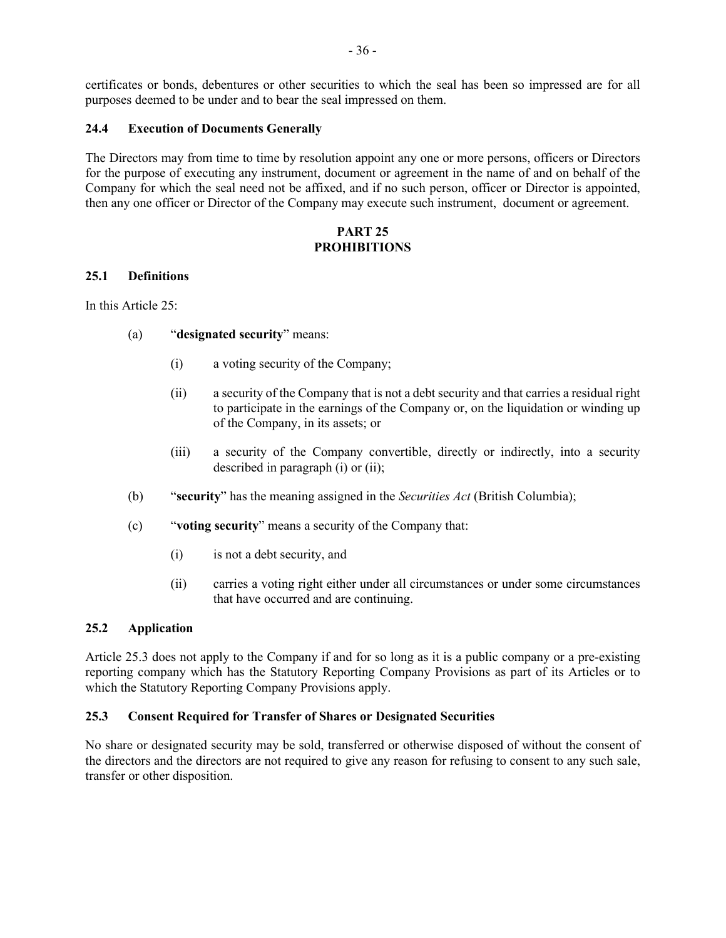certificates or bonds, debentures or other securities to which the seal has been so impressed are for all purposes deemed to be under and to bear the seal impressed on them.

#### **24.4 Execution of Documents Generally**

The Directors may from time to time by resolution appoint any one or more persons, officers or Directors for the purpose of executing any instrument, document or agreement in the name of and on behalf of the Company for which the seal need not be affixed, and if no such person, officer or Director is appointed, then any one officer or Director of the Company may execute such instrument, document or agreement.

## **PART 25 PROHIBITIONS**

#### **25.1 Definitions**

In this Article 25:

- (a) "**designated security**" means:
	- (i) a voting security of the Company;
	- (ii) a security of the Company that is not a debt security and that carries a residual right to participate in the earnings of the Company or, on the liquidation or winding up of the Company, in its assets; or
	- (iii) a security of the Company convertible, directly or indirectly, into a security described in paragraph (i) or (ii);
- (b) "**security**" has the meaning assigned in the *Securities Act* (British Columbia);
- (c) "**voting security**" means a security of the Company that:
	- (i) is not a debt security, and
	- (ii) carries a voting right either under all circumstances or under some circumstances that have occurred and are continuing.

### **25.2 Application**

Article 25.3 does not apply to the Company if and for so long as it is a public company or a pre-existing reporting company which has the Statutory Reporting Company Provisions as part of its Articles or to which the Statutory Reporting Company Provisions apply.

### **25.3 Consent Required for Transfer of Shares or Designated Securities**

No share or designated security may be sold, transferred or otherwise disposed of without the consent of the directors and the directors are not required to give any reason for refusing to consent to any such sale, transfer or other disposition.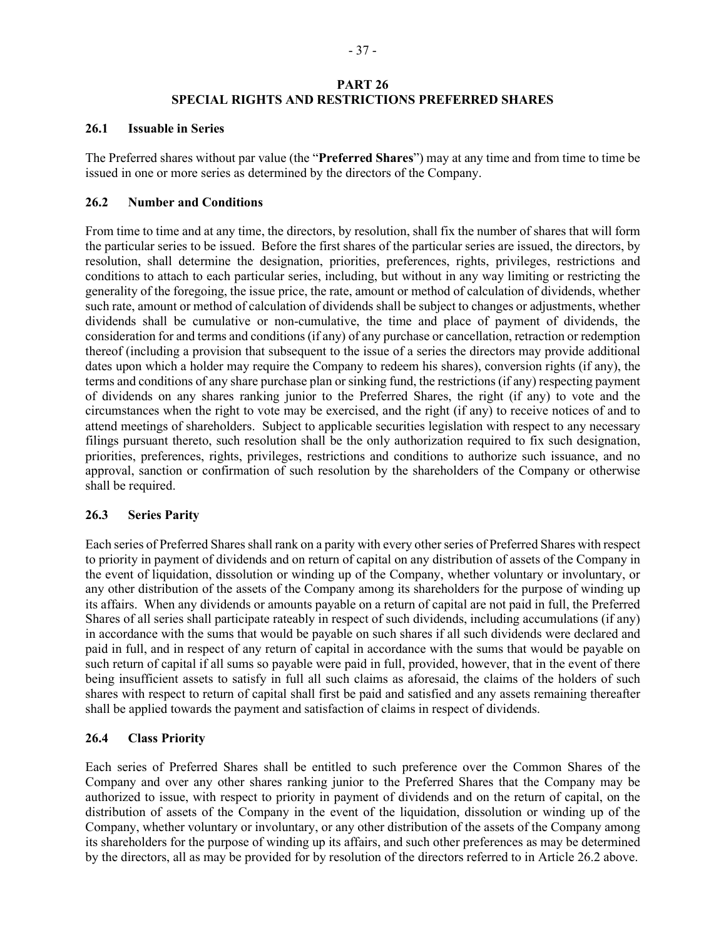# **PART 26 SPECIAL RIGHTS AND RESTRICTIONS PREFERRED SHARES**

#### **26.1 Issuable in Series**

The Preferred shares without par value (the "**Preferred Shares**") may at any time and from time to time be issued in one or more series as determined by the directors of the Company.

## **26.2 Number and Conditions**

From time to time and at any time, the directors, by resolution, shall fix the number of shares that will form the particular series to be issued. Before the first shares of the particular series are issued, the directors, by resolution, shall determine the designation, priorities, preferences, rights, privileges, restrictions and conditions to attach to each particular series, including, but without in any way limiting or restricting the generality of the foregoing, the issue price, the rate, amount or method of calculation of dividends, whether such rate, amount or method of calculation of dividends shall be subject to changes or adjustments, whether dividends shall be cumulative or non-cumulative, the time and place of payment of dividends, the consideration for and terms and conditions (if any) of any purchase or cancellation, retraction or redemption thereof (including a provision that subsequent to the issue of a series the directors may provide additional dates upon which a holder may require the Company to redeem his shares), conversion rights (if any), the terms and conditions of any share purchase plan or sinking fund, the restrictions (if any) respecting payment of dividends on any shares ranking junior to the Preferred Shares, the right (if any) to vote and the circumstances when the right to vote may be exercised, and the right (if any) to receive notices of and to attend meetings of shareholders. Subject to applicable securities legislation with respect to any necessary filings pursuant thereto, such resolution shall be the only authorization required to fix such designation, priorities, preferences, rights, privileges, restrictions and conditions to authorize such issuance, and no approval, sanction or confirmation of such resolution by the shareholders of the Company or otherwise shall be required.

### **26.3 Series Parity**

Each series of Preferred Shares shall rank on a parity with every other series of Preferred Shares with respect to priority in payment of dividends and on return of capital on any distribution of assets of the Company in the event of liquidation, dissolution or winding up of the Company, whether voluntary or involuntary, or any other distribution of the assets of the Company among its shareholders for the purpose of winding up its affairs. When any dividends or amounts payable on a return of capital are not paid in full, the Preferred Shares of all series shall participate rateably in respect of such dividends, including accumulations (if any) in accordance with the sums that would be payable on such shares if all such dividends were declared and paid in full, and in respect of any return of capital in accordance with the sums that would be payable on such return of capital if all sums so payable were paid in full, provided, however, that in the event of there being insufficient assets to satisfy in full all such claims as aforesaid, the claims of the holders of such shares with respect to return of capital shall first be paid and satisfied and any assets remaining thereafter shall be applied towards the payment and satisfaction of claims in respect of dividends.

# **26.4 Class Priority**

Each series of Preferred Shares shall be entitled to such preference over the Common Shares of the Company and over any other shares ranking junior to the Preferred Shares that the Company may be authorized to issue, with respect to priority in payment of dividends and on the return of capital, on the distribution of assets of the Company in the event of the liquidation, dissolution or winding up of the Company, whether voluntary or involuntary, or any other distribution of the assets of the Company among its shareholders for the purpose of winding up its affairs, and such other preferences as may be determined by the directors, all as may be provided for by resolution of the directors referred to in Article 26.2 above.